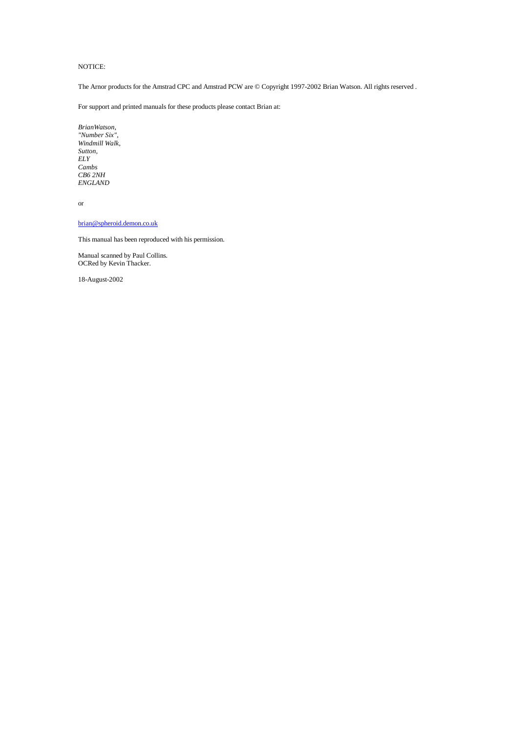# NOTICE:

The Arnor products for the Amstrad CPC and Amstrad PCW are © Copyright 1997-2002 Brian Watson. All rights reserved .

For support and printed manuals for these products please contact Brian at:

*BrianWatson, "Number Six", Windmill Walk, Sutton, ELY Cambs CB6 2NH ENGLAND*

or

brian@spheroid.demon.co.uk

This manual has been reproduced with his permission.

Manual scanned by Paul Collins. OCRed by Kevin Thacker.

18-August-2002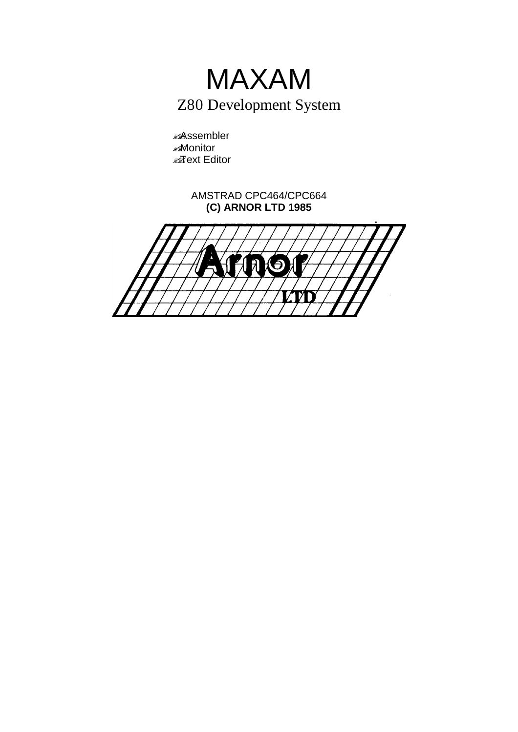# MAXAM Z80 Development System

**Assembler** ??Monitor **Ext**ext Editor

> AMSTRAD CPC464/CPC664 **(C) ARNOR LTD 1985**

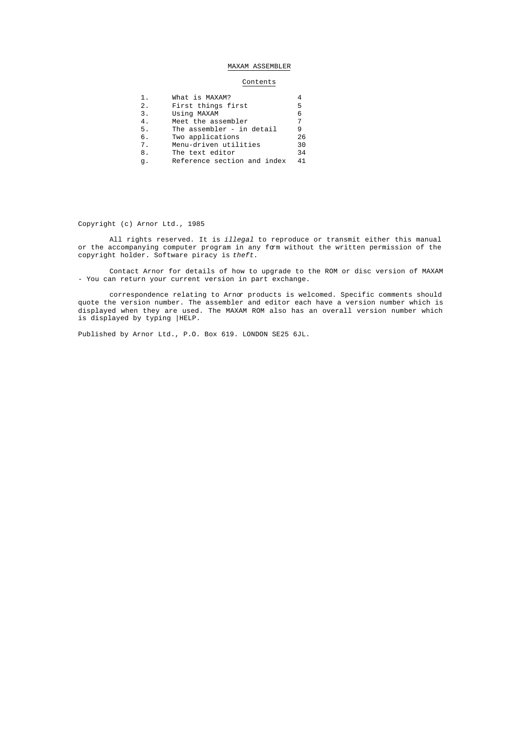# MAXAM ASSEMBLER

# Contents

| 1.    | What is MAXAM?              |    |
|-------|-----------------------------|----|
| $2$ . | First things first          | 5  |
| 3.    | Using MAXAM                 | 6  |
| 4.    | Meet the assembler          | 7  |
| 5.    | The assembler - in detail   | 9  |
| б.    | Two applications            | 26 |
| 7.    | Menu-driven utilities       | 30 |
| 8.    | The text editor             | 34 |
| q.    | Reference section and index | 41 |
|       |                             |    |

Copyright (c) Arnor Ltd., 1985

All rights reserved. It is *illegal* to reproduce or transmit either this manual or the accompanying computer program in any form without the written permission of the copyright holder. Software piracy is *theft*.

Contact Arnor for details of how to upgrade to the ROM or disc version of MAXAM - You can return your current version in part exchange.

correspondence relating to Arnor products is welcomed. Specific comments should quote the version number. The assembler and editor each have a version number which is displayed when they are used. The MAXAM ROM also has an overall version number which is displayed by typing |HELP.

Published by Arnor Ltd., P.O. Box 619. LONDON SE25 6JL.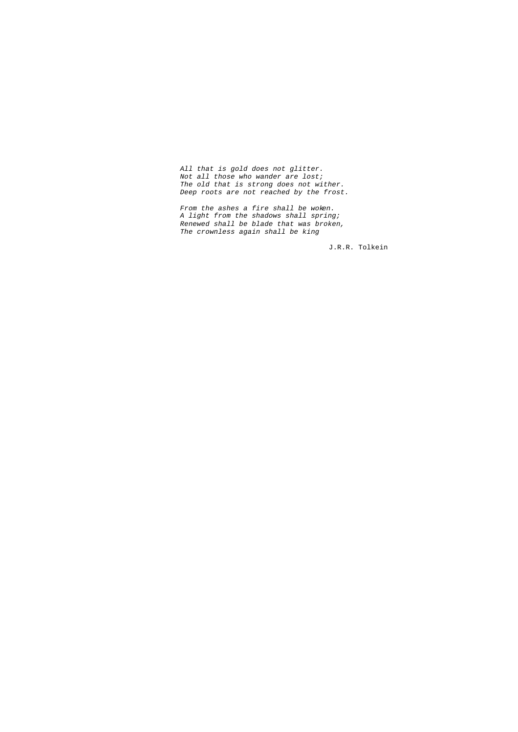*All that is gold does not glitter. Not all those who wander are lost; The old that is strong does not wither. Deep roots are not reached by the frost.*

*From the ashes a fire shall be woken. A light from the shadows shall spring; Renewed shall be blade that was broken, The crownless again shall be king*

J.R.R. Tolkein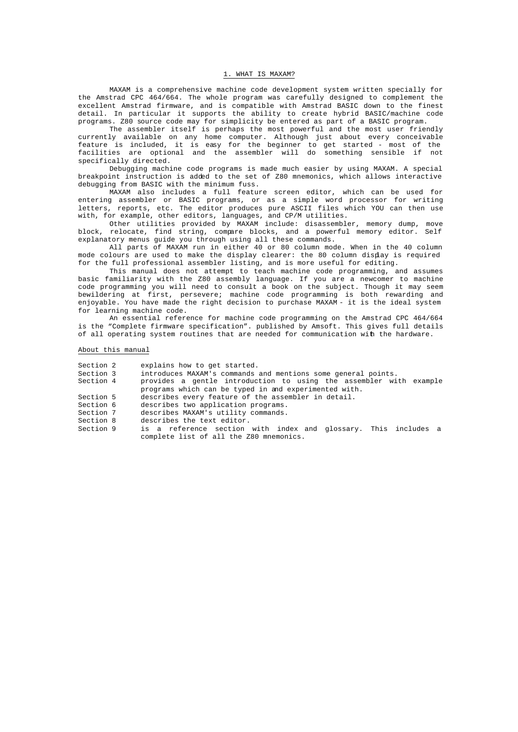# 1. WHAT IS MAXAM?

MAXAM is a comprehensive machine code development system written specially for the Amstrad CPC 464/664. The whole program was carefully designed to complement the excellent Amstrad firmware, and is compatible with Amstrad BASIC down to the finest detail. In particular it supports the ability to create hybrid BASIC/machine code programs. Z80 source code may for simplicity be entered as part of a BASIC program.

The assembler itself is perhaps the most powerful and the most user friendly currently available on any home computer. Although just about every conceivable feature is included, it is easy for the beginner to get started - most of the facilities are optional and the assembler will do something sensible if not specifically directed.

Debugging machine code programs is made much easier by using MAXAM. A special breakpoint instruction is added to the set of Z80 mnemonics, which allows interactive debugging from BASIC with the minimum fuss.

MAXAM also includes a full feature screen editor, which can be used for entering assembler or BASIC programs, or as a simple word processor for writing letters, reports, etc. The editor produces pure ASCII files which YOU can then use with, for example, other editors, languages, and CP/M utilities.

Other utilities provided by MAXAM include: disassembler, memory dump, move block, relocate, find string, compare blocks, and a powerful memory editor. Self explanatory menus guide you through using all these commands.

All parts of MAXAM run in either 40 or 80 column mode. When in the 40 column mode colours are used to make the display clearer: the 80 column display is required for the full professional assembler listing, and is more useful for editing.

This manual does not attempt to teach machine code programming, and assumes basic familiarity with the Z80 assembly language. If you are a newcomer to machine code programming you will need to consult a book on the subject. Though it may seem bewildering at first, persevere; machine code programming is both rewarding and enjoyable. You have made the right decision to purchase MAXAM - it is the ideal system for learning machine code.

An essential reference for machine code programming on the Amstrad CPC 464/664 is the "Complete firmware specification". published by Amsoft. This gives full details of all operating system routines that are needed for communication with the hardware.

About this manual

Section 2 explains how to get started.<br>Section 3 introduces MAXAM's commands

- Section 3 introduces MAXAM's commands and mentions some general points.<br>Section 4 mentions a gentle introduction to using the assembler wi
- provides a gentle introduction to using the assembler with example programs which can be typed in and experimented with.
- Section 5 describes every feature of the assembler in detail.<br>Section 6 describes two application programs.
- Section 6 describes two application programs.<br>Section 7 describes MAXAM's utility commands.
- describes MAXAM's utility commands.
- Section 8 describes the text editor.

Section 9 is a reference section with index and glossary. This includes a complete list of all the Z80 mnemonics.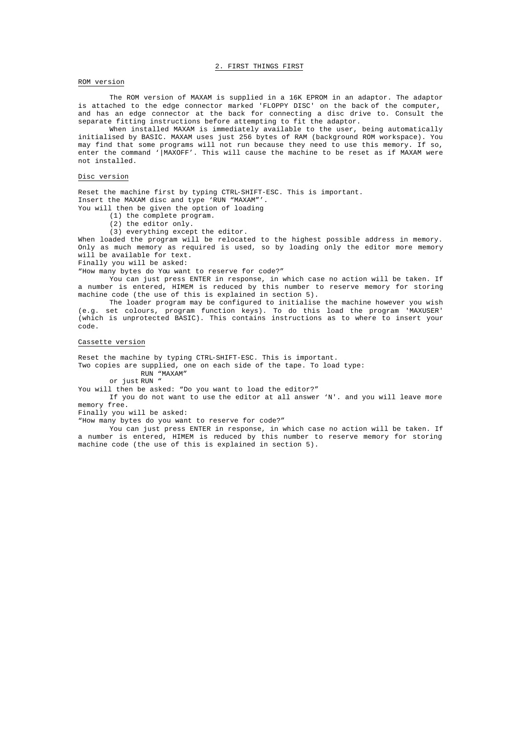### 2. FIRST THINGS FIRST

### ROM version

The ROM version of MAXAM is supplied in a 16K EPROM in an adaptor. The adaptor is attached to the edge connector marked 'FLOPPY DISC' on the back of the computer, and has an edge connector at the back for connecting a disc drive to. Consult the separate fitting instructions before attempting to fit the adaptor.

When installed MAXAM is immediately available to the user, being automatically initialised by BASIC. MAXAM uses just 256 bytes of RAM (background ROM workspace). You may find that some programs will not run because they need to use this memory. If so, enter the command '|MAXOFF'. This will cause the machine to be reset as if MAXAM were not installed.

# Disc version

Reset the machine first by typing CTRL-SHIFT-ESC. This is important. Insert the MAXAM disc and type 'RUN "MAXAM"'. You will then be given the option of loading

(1) the complete program.

(2) the editor only.

(3) everything except the editor.

When loaded the program will be relocated to the highest possible address in memory. Only as much memory as required is used, so by loading only the editor more memory will be available for text.

Finally you will be asked:

"How many bytes do You want to reserve for code?"

You can just press ENTER in response, in which case no action will be taken. If a number is entered, HIMEM is reduced by this number to reserve memory for storing machine code (the use of this is explained in section 5).

The loader program may be configured to initialise the machine however you wish (e.g. set colours, program function keys). To do this load the program 'MAXUSER' (which is unprotected BASIC). This contains instructions as to where to insert your code.

### Cassette version

Reset the machine by typing CTRL-SHIFT-ESC. This is important.

Two copies are supplied, one on each side of the tape. To load type:

RUN "MAXAM"

or just RUN "

You will then be asked: "Do you want to load the editor?"

If you do not want to use the editor at all answer 'N'. and you will leave more memory free.

Finally you will be asked:

"How many bytes do you want to reserve for code?"

You can just press ENTER in response, in which case no action will be taken. If a number is entered, HIMEM is reduced by this number to reserve memory for storing machine code (the use of this is explained in section 5).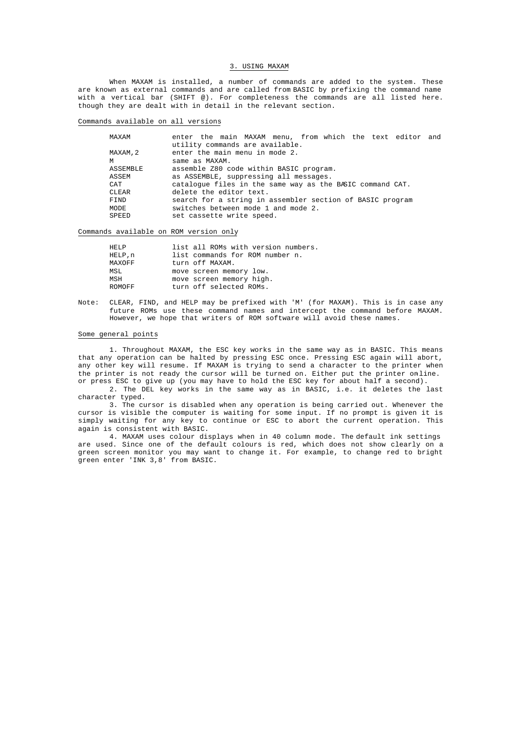# 3. USING MAXAM

When MAXAM is installed, a number of commands are added to the system. These are known as external commands and are called from BASIC by prefixing the command name with a vertical bar (SHIFT @). For completeness the commands are all listed here. though they are dealt with in detail in the relevant section.

# Commands available on all versions

| MAXAM    | enter the main MAXAM menu, from which the text editor and |
|----------|-----------------------------------------------------------|
|          | utility commands are available.                           |
| MAXAM, 2 | enter the main menu in mode 2.                            |
| M        | same as MAXAM.                                            |
| ASSEMBLE | assemble Z80 code within BASIC program.                   |
| ASSEM    | as ASSEMBLE, suppressing all messages.                    |
| CAT      | catalogue files in the same way as the BASIC command CAT. |
| CLEAR    | delete the editor text.                                   |
| FIND     | search for a string in assembler section of BASIC program |
| MODE     | switches between mode 1 and mode 2.                       |
| SPEED    | set cassette write speed.                                 |

Commands available on ROM version only

| HELP          | list all ROMs with version numbers. |
|---------------|-------------------------------------|
| HELP.n        | list commands for ROM number n.     |
| MAXOFF        | turn off MAXAM.                     |
| MSL.          | move screen memory low.             |
| MSH           | move screen memory high.            |
| <b>ROMOFF</b> | turn off selected ROMs.             |

Note: CLEAR, FIND, and HELP may be prefixed with 'M' (for MAXAM). This is in case any future ROMs use these command names and intercept the command before MAXAM. However, we hope that writers of ROM software will avoid these names.

### Some general points

1. Throughout MAXAM, the ESC key works in the same way as in BASIC. This means that any operation can be halted by pressing ESC once. Pressing ESC again will abort, any other key will resume. If MAXAM is trying to send a character to the printer when the printer is not ready the cursor will be turned on. Either put the printer online. or press ESC to give up (you may have to hold the ESC key for about half a second).

2. The DEL key works in the same way as in BASIC, i.e. it deletes the last character typed.

3. The cursor is disabled when any operation is being carried out. Whenever the cursor is visible the computer is waiting for some input. If no prompt is given it is simply waiting for any key to continue or ESC to abort the current operation. This again is consistent with BASIC.

4. MAXAM uses colour displays when in 40 column mode. The default ink settings are used. Since one of the default colours is red, which does not show clearly on a green screen monitor you may want to change it. For example, to change red to bright green enter 'INK 3,8' from BASIC.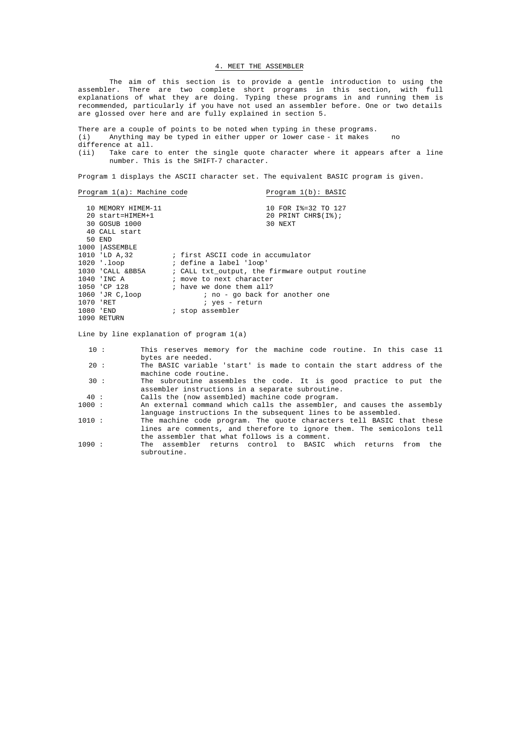# 4. MEET THE ASSEMBLER

The aim of this section is to provide a gentle introduction to using the assembler. There are two complete short programs in this section, with full explanations of what they are doing. Typing these programs in and running them is recommended, particularly if you have not used an assembler before. One or two details are glossed over here and are fully explained in section 5.

There are a couple of points to be noted when typing in these programs. (i) Anything may be typed in either upper or lower case - it makes no

difference at all.

(ii) Take care to enter the single quote character where it appears after a line number. This is the SHIFT-7 character.

Program 1 displays the ASCII character set. The equivalent BASIC program is given.

| Program 1(a): Machine code | Program $1(b)$ : BASIC                         |
|----------------------------|------------------------------------------------|
|                            |                                                |
| 10 MEMORY HIMEM-11         | 10 FOR 1%=32 TO 127                            |
| 20 start=HIMEM+1           | 20 PRINT CHR\$(I%);                            |
| 30 GOSUB 1000              | 30 NEXT                                        |
| 40 CALL start              |                                                |
| 50 END                     |                                                |
| 1000   ASSEMBLE            |                                                |
| 1010 'LD A,32              | ; first ASCII code in accumulator              |
| 1020 '.loop                | ; define a label 'loop'                        |
| 1030 'CALL &BB5A           | ; CALL txt output, the firmware output routine |
| 1040 'INC A                | ; move to next character                       |
| 1050 'CP 128               | ; have we done them all?                       |
| 1060 'JR C, loop           | ; no - go back for another one                 |
| 1070 'RET                  | ; yes - return                                 |
| 1080 'END                  | ; stop assembler                               |
| 1090 RETURN                |                                                |

Line by line explanation of program 1(a)

- 10 : This reserves memory for the machine code routine. In this case 11 bytes are needed.
- 20 : The BASIC variable 'start' is made to contain the start address of the machine code routine.
- 30 : The subroutine assembles the code. It is good practice to put the assembler instructions in a separate subroutine.
- 40 : Calls the (now assembled) machine code program.<br>1000 : An external command which calls the assembler,
- An external command which calls the assembler, and causes the assembly language instructions In the subsequent lines to be assembled.
- 1010 : The machine code program. The quote characters tell BASIC that these lines are comments, and therefore to ignore them. The semicolons tell the assembler that what follows is a comment.
- 1090 : The assembler returns control to BASIC which returns from the subroutine.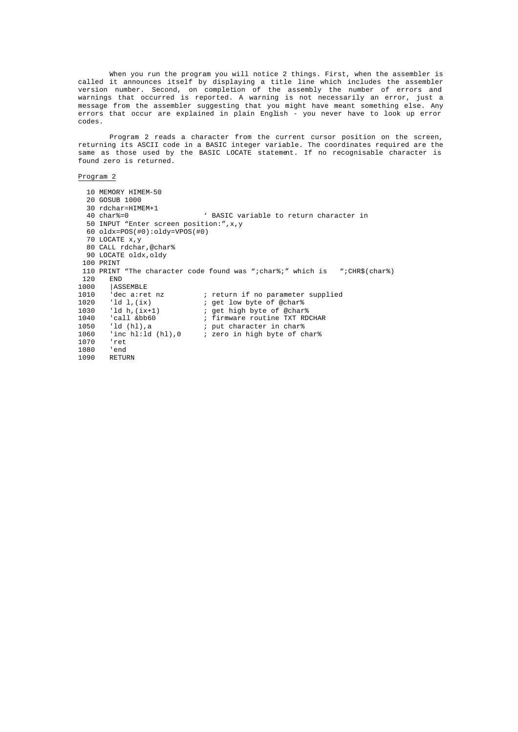When you run the program you will notice 2 things. First, when the assembler is called it announces itself by displaying a title line which includes the assembler version number. Second, on completion of the assembly the number of errors and warnings that occurred is reported. A warning is not necessarily an error, just a message from the assembler suggesting that you might have meant something else. Any errors that occur are explained in plain English - you never have to look up error codes.

Program 2 reads a character from the current cursor position on the screen, returning its ASCII code in a BASIC integer variable. The coordinates required are the same as those used by the BASIC LOCATE statement. If no recognisable character is found zero is returned.

# Program 2

 10 MEMORY HIMEM-50 20 GOSUB 1000 30 rdchar=HIMEM+1 40 char%=0 ' BASIC variable to return character in 50 INPUT "Enter screen position:",x,y 60 oldx=POS(#0):oldy=VPOS(#0) 70 LOCATE x,y 80 CALL rdchar,@char% 90 LOCATE oldx,oldy 100 PRINT 110 PRINT "The character code found was ";char%;" which is ";CHR\$(char%)<br>120 END  $120$  END<br> $1000$   $\frac{125}{105}$ 1000 | ASSEMBLE<br>1010 'dec a:ret nz 1010 <sup>'</sup>dec a:ret nz ; return if no parameter supplied<br>1020 'ld l,(ix) ; get low byte of @char% 1020 'ld l,(ix) ; get low byte of @char%<br>1030 'ld h,(ix+1) ; get high byte of @char 1030 'ld h, (ix+1) ; get high byte of @char%<br>1040 'call &bb60 ; firmware routine TXT RD 1040 'call &bb60 ; firmware routine TXT RDCHAR<br>1050 'ld (hl),a ; put character in char% 1050 'ld (hl),a ; put character in char% 1060 'inc hl:ld (hl),0 ; zero in high byte of char%<br>1070 'ret 1070 'ret 1080 'end<br>1090 RETUR 1090 RETURN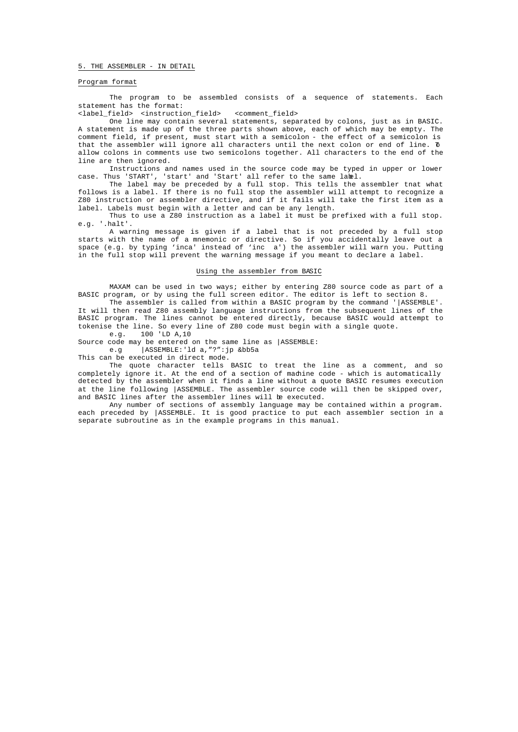### 5. THE ASSEMBLER - IN DETAIL

### Program format

The program to be assembled consists of a sequence of statements. Each statement has the format:

<label\_field> <instruction\_field> <comment\_field>

One line may contain several statements, separated by colons, just as in BASIC. A statement is made up of the three parts shown above, each of which may be empty. The comment field, if present, must start with a semicolon - the effect of a semicolon is that the assembler will ignore all characters until the next colon or end of line. To allow colons in comments use two semicolons together. All characters to the end of the line are then ignored.

Instructions and names used in the source code may be typed in upper or lower case. Thus 'START', 'start' and 'Start' all refer to the same label.

The label may be preceded by a full stop. This tells the assembler tnat what follows is a label. If there is no full stop the assembler will attempt to recognize a Z80 instruction or assembler directive, and if it fails will take the first item as a label. Labels must begin with a letter and can be any length.

Thus to use a Z80 instruction as a label it must be prefixed with a full stop. e.g. '.halt'.

A warning message is given if a label that is not preceded by a full stop starts with the name of a mnemonic or directive. So if you accidentally leave out a space (e.g. by typing 'inca' instead of 'inc a') the assembler will warn you. Putting in the full stop will prevent the warning message if you meant to declare a label.

# Using the assembler from BASIC

MAXAM can be used in two ways; either by entering Z80 source code as part of a BASIC program, or by using the full screen editor. The editor is left to section 8.

The assembler is called from within a BASIC program by the command '|ASSEMBLE'. It will then read Z80 assembly language instructions from the subsequent lines of the BASIC program. The lines cannot be entered directly, because BASIC would attempt to tokenise the line. So every line of Z80 code must begin with a single quote. e.g. 100 'LD A,10

Source code may be entered on the same line as | ASSEMBLE:

e.g |ASSEMBLE:'ld a,"?":jp &bb5a

This can be executed in direct mode.

The quote character tells BASIC to treat the line as a comment, and so completely ignore it. At the end of a section of madnine code - which is automatically detected by the assembler when it finds a line without a quote BASIC resumes execution at the line following |ASSEMBLE. The assembler source code will then be skipped over, and BASIC lines after the assembler lines will be executed.

Any number of sections of assembly language may be contained within a program. each preceded by |ASSEMBLE. It is good practice to put each assembler section in a separate subroutine as in the example programs in this manual.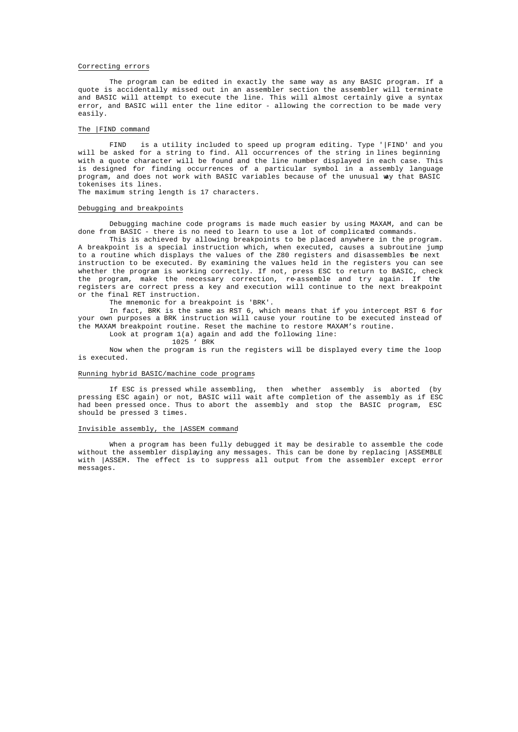### Correcting errors

The program can be edited in exactly the same way as any BASIC program. If a quote is accidentally missed out in an assembler section the assembler will terminate and BASIC will attempt to execute the line. This will almost certainly give a syntax error, and BASIC will enter the line editor - allowing the correction to be made very easily.

# The |FIND command

FIND is a utility included to speed up program editing. Type '|FIND' and you will be asked for a string to find. All occurrences of the string in lines beginning with a quote character will be found and the line number displayed in each case. This is designed for finding occurrences of a particular symbol in a assembly language program, and does not work with BASIC variables because of the unusual way that BASIC tokenises its lines.

The maximum string length is 17 characters.

# Debugging and breakpoints

Debugging machine code programs is made much easier by using MAXAM, and can be done from BASIC - there is no need to learn to use a lot of complicated commands.

This is achieved by allowing breakpoints to be placed anywhere in the program. A breakpoint is a special instruction which, when executed, causes a subroutine jump to a routine which displays the values of the Z80 registers and disassembles the next instruction to be executed. By examining the values held in the registers you can see whether the program is working correctly. If not, press ESC to return to BASIC, check the program, make the necessary correction, re-assemble and try again. If the registers are correct press a key and execution will continue to the next breakpoint or the final RET instruction.

The mnemonic for a breakpoint is 'BRK'.

In fact, BRK is the same as RST 6, which means that if you intercept RST 6 for your own purposes a BRK instruction will cause your routine to be executed instead of the MAXAM breakpoint routine. Reset the machine to restore MAXAM's routine.

Look at program 1(a) again and add the following line:

1025 ' BRK

Now when the program is run the registers will be displayed every time the loop is executed.

# Running hybrid BASIC/machine code programs

If ESC is pressed while assembling, then whether assembly is aborted (by pressing ESC again) or not, BASIC will wait afte completion of the assembly as if ESC had been pressed once. Thus to abort the assembly and stop the BASIC program, ESC should be pressed 3 times.

### Invisible assembly, the |ASSEM command

When a program has been fully debugged it may be desirable to assemble the code without the assembler displaying any messages. This can be done by replacing |ASSEMBLE with |ASSEM. The effect is to suppress all output from the assembler except error messages.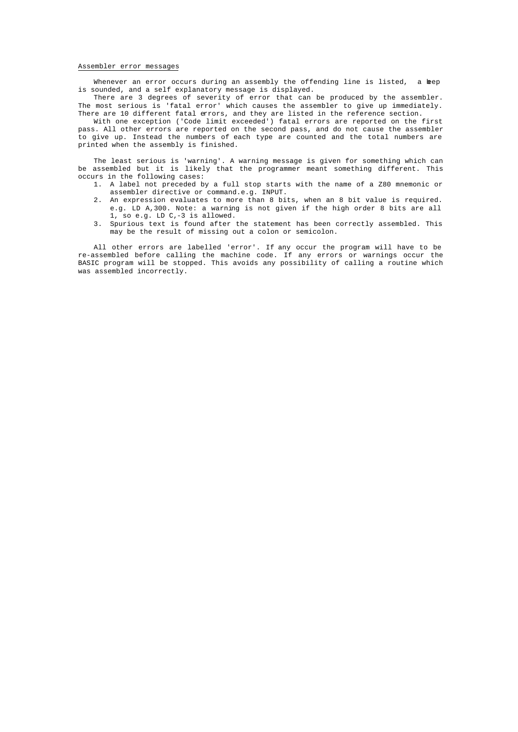### Assembler error messages

Whenever an error occurs during an assembly the offending line is listed, a beep is sounded, and a self explanatory message is displayed.

There are 3 degrees of severity of error that can be produced by the assembler. The most serious is 'fatal error' which causes the assembler to give up immediately. There are 10 different fatal errors, and they are listed in the reference section.

With one exception ('Code limit exceeded') fatal errors are reported on the first pass. All other errors are reported on the second pass, and do not cause the assembler to give up. Instead the numbers of each type are counted and the total numbers are printed when the assembly is finished.

The least serious is 'warning'. A warning message is given for something which can be assembled but it is likely that the programmer meant something different. This occurs in the following cases:

- 1. A label not preceded by a full stop starts with the name of a Z80 mnemonic or assembler directive or command.e.g. INPUT.
- 2. An expression evaluates to more than 8 bits, when an 8 bit value is required. e.g. LD A,300. Note: a warning is not given if the high order 8 bits are all 1, so e.g. LD C,-3 is allowed.
- 3. Spurious text is found after the statement has been correctly assembled. This may be the result of missing out a colon or semicolon.

All other errors are labelled 'error'. If any occur the program will have to be re-assembled before calling the machine code. If any errors or warnings occur the BASIC program will be stopped. This avoids any possibility of calling a routine which was assembled incorrectly.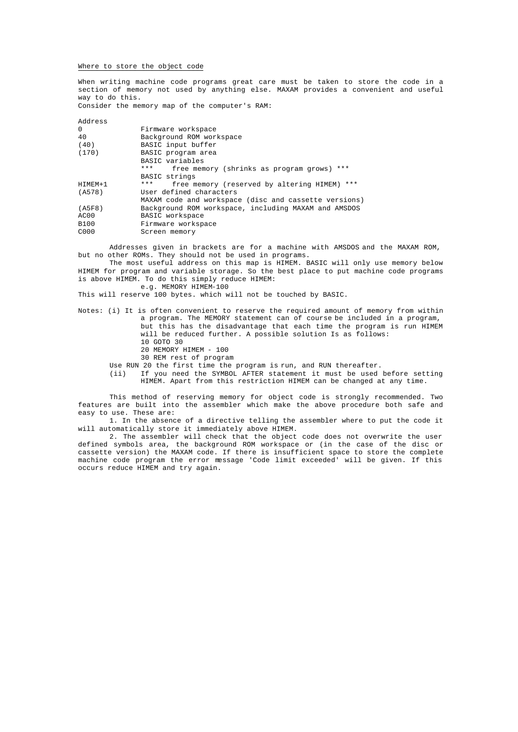### Where to store the object code

When writing machine code programs great care must be taken to store the code in a section of memory not used by anything else. MAXAM provides a convenient and useful way to do this.

Consider the memory map of the computer's RAM:

| $\Omega$  | Firmware workspace                                     |
|-----------|--------------------------------------------------------|
| 40        | Background ROM workspace                               |
| (40)      | BASIC input buffer                                     |
| (170)     | BASIC program area                                     |
|           | BASIC variables                                        |
|           | $***$<br>***<br>free memory (shrinks as program grows) |
|           | BASIC strings                                          |
| $HIMEM+1$ | ***<br>***<br>free memory (reserved by altering HIMEM) |
| (AS78)    | User defined characters                                |
|           | MAXAM code and workspace (disc and cassette versions)  |
| (ABFB)    | Background ROM workspace, including MAXAM and AMSDOS   |
| AC00      | BASIC workspace                                        |
| B100      | Firmware workspace                                     |
| C000      | Screen memory                                          |
|           |                                                        |

Addresses given in brackets are for a machine with AMSDOS and the MAXAM ROM, but no other ROMs. They should not be used in programs.

The most useful address on this map is HIMEM. BASIC will only use memory below HIMEM for program and variable storage. So the best place to put machine code programs is above HIMEM. To do this simply reduce HIMEM:

e.g. MEMORY HIMEM-100

This will reserve 100 bytes. which will not be touched by BASIC.

Notes: (i) It is often convenient to reserve the required amount of memory from within a program. The MEMORY statement can of course be included in a program, but this has the disadvantage that each time the program is run HIMEM will be reduced further. A possible solution Is as follows: 10 GOTO 30

- 20 MEMORY HIMEM 100
- 30 REM rest of program

Use RUN 20 the first time the program is run, and RUN thereafter.

(ii) If you need the SYMBOL AFTER statement it must be used before setting HIMEM. Apart from this restriction HIMEM can be changed at any time.

This method of reserving memory for object code is strongly recommended. Two features are built into the assembler which make the above procedure both safe and easy to use. These are:

1. In the absence of a directive telling the assembler where to put the code it will automatically store it immediately above HIMEM.

2. The assembler will check that the object code does not overwrite the user defined symbols area, the background ROM workspace or (in the case of the disc or cassette version) the MAXAM code. If there is insufficient space to store the complete machine code program the error message 'Code limit exceeded' will be given. If this occurs reduce HIMEM and try again.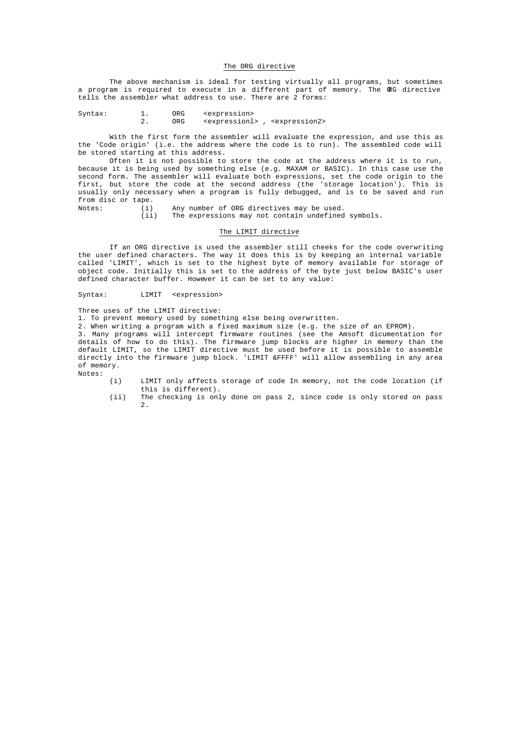The above mechanism is ideal for testing virtually all programs, but sometimes a program is required to execute in a different part of memory. The RG directive tells the assembler what address to use. There are 2 forms:

Syntax: 1. ORG <expression><br>2. ORG <expressionl 2. ORG <expressionl> , <expression2>

With the first form the assembler will evaluate the expression, and use this as the 'Code origin' (i.e. the address where the code is to run). The assembled code will be stored starting at this address.

Often it is not possible to store the code at the address where it is to run, because it is being used by something else (e.g. MAXAM or BASIC). In this case use the second form. The assembler will evaluate both expressions, set the code origin to the first, but store the code at the second address (the 'storage location'). This is usually only necessary when a program is fully debugged, and is to be saved and run from disc or tape.

Notes: (i) Any number of ORG directives may be used.

(ii) The expressions may not contain undefined symbols.

# The LIMIT directive

If an ORG directive is used the assembler still cheeks for the code overwriting the user defined characters. The way it does this is by keeping an internal variable called 'LIMIT', which is set to the highest byte of memory available for storage of object code. Initially this is set to the address of the byte just below BASIC's user defined character buffer. However it can be set to any value:

Syntax: LIMIT <expression>

Three uses of the LIMIT directive:

1. To prevent memory used by something else being overwritten.

2. When writing a program with a fixed maximum size (e.g. the size of an EPROM).

3. Many programs will intercept firmware routines (see the Amsoft dicumentation for details of how to do this). The firmware jump blocks are higher in memory than the default LIMIT, so the LIMIT directive must be used before it is possible to assemble directly into the firmware jump block. 'LIMIT &FFFF' will allow assembling in any area of memory. Notes:

- (i) LIMIT only affects storage of code In memory, not the code location (if this is different).
	- (ii) The checking is only done on pass 2, since code is only stored on pass 2.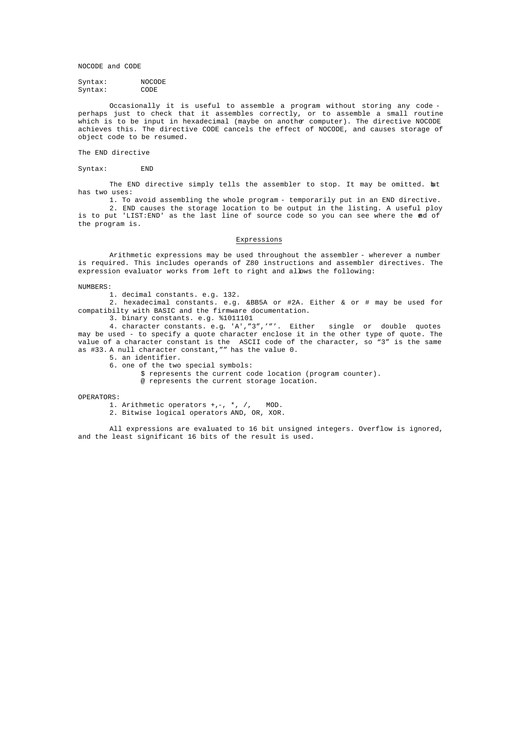NOCODE and CODE

Syntax: NOCODE<br>Syntax: CODE  $Syntax:$ 

Occasionally it is useful to assemble a program without storing any code perhaps just to check that it assembles correctly, or to assemble a small routine which is to be input in hexadecimal (maybe on another computer). The directive NOCODE achieves this. The directive CODE cancels the effect of NOCODE, and causes storage of object code to be resumed.

The END directive

Syntax: END

The END directive simply tells the assembler to stop. It may be omitted. but has two uses:

1. To avoid assembling the whole program - temporarily put in an END directive. 2. END causes the storage location to be output in the listing. A useful ploy is to put 'LIST:END' as the last line of source code so you can see where the end of the program is.

# Expressions

Arithmetic expressions may be used throughout the assembler - wherever a number is required. This includes operands of Z80 instructions and assembler directives. The expression evaluator works from left to right and allows the following:

NUMBERS:

1. decimal constants. e.g. 132.

2. hexadecimal constants. e.g. &BB5A or #2A. Either & or # may be used for compatibilty with BASIC and the firmware documentation.

3. binary constants. e.g. %1011101

4. character constants. e.g. 'A',"3",'"'. Either single or double quotes may be used - to specify a quote character enclose it in the other type of quote. The value of a character constant is the ASCII code of the character, so "3" is the same as #33. A null character constant,"" has the value 0.

5. an identifier.

6. one of the two special symbols:

\$ represents the current code location (program counter).

@ represents the current storage location.

OPERATORS:

1. Arithmetic operators +,-, \*, /, MOD.

2. Bitwise logical operators AND, OR, XOR.

All expressions are evaluated to 16 bit unsigned integers. Overflow is ignored, and the least significant 16 bits of the result is used.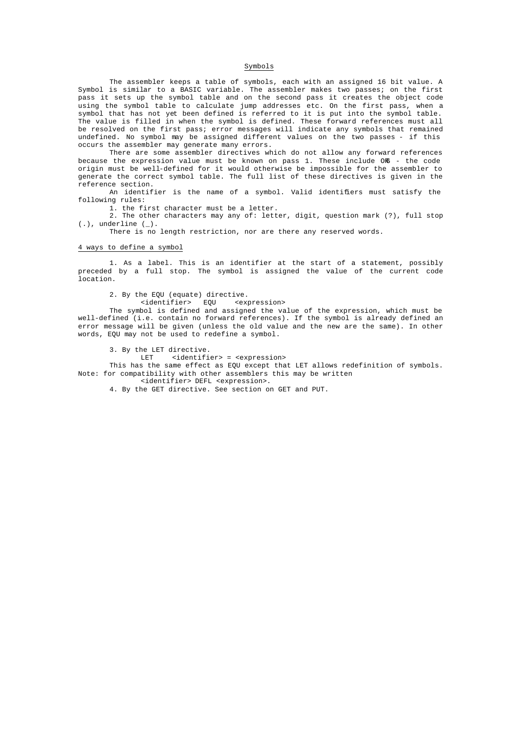# Symbols

The assembler keeps a table of symbols, each with an assigned 16 bit value. A Symbol is similar to a BASIC variable. The assembler makes two passes; on the first pass it sets up the symbol table and on the second pass it creates the object code using the symbol table to calculate jump addresses etc. On the first pass, when a symbol that has not yet been defined is referred to it is put into the symbol table. The value is filled in when the symbol is defined. These forward references must all be resolved on the first pass; error messages will indicate any symbols that remained undefined. No symbol may be assigned different values on the two passes - if this occurs the assembler may generate many errors.

There are some assembler directives which do not allow any forward references because the expression value must be known on pass 1. These include  $O\mathbb{E}$  - the code origin must be well-defined for it would otherwise be impossible for the assembler to generate the correct symbol table. The full list of these directives is given in the reference section.

An identifier is the name of a symbol. Valid identifiers must satisfy the following rules:

1. the first character must be a letter.

2. The other characters may any of: letter, digit, question mark (?), full stop  $(.),$  underline  $($ ).

There is no length restriction, nor are there any reserved words.

### 4 ways to define a symbol

1. As a label. This is an identifier at the start of a statement, possibly preceded by a full stop. The symbol is assigned the value of the current code location.

2. By the EQU (equate) directive.

<identifier> EQU <expression>

The symbol is defined and assigned the value of the expression, which must be well-defined (i.e. contain no forward references). If the symbol is already defined an error message will be given (unless the old value and the new are the same). In other words, EQU may not be used to redefine a symbol.

3. By the LET directive.

LET <identifier> = <expression>

This has the same effect as EQU except that LET allows redefinition of symbols. Note: for compatibility with other assemblers this may be written

<identifier> DEFL <expression>.

4. By the GET directive. See section on GET and PUT.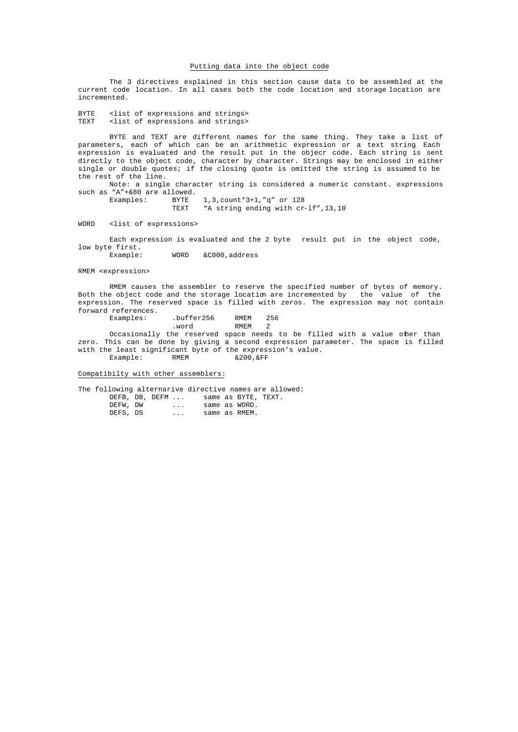The 3 directives explained in this section cause data to be assembled at the current code location. In all cases both the code location and storage location are incremented.

BYTE <list of expressions and strings><br>TEXT <list of expressions and strings> <list of expressions and strings>

BYTE and TEXT are different names for the same thing. They take a list of parameters, each of which can be an arithmetic expression or a text string. Each expression is evaluated and the result put in the objecr code. Each string is sent directly to the object code, character by character. Strings may be enclosed in either single or double quotes; if the closing quote is omitted the string is assumed to be the rest of the line.

Note: a single character string is considered a numeric constant. expressions such as "A"+&80 are allowed.<br>Examples: BYTE

 $1,3$ , count\*3+1, "q" or  $128$ TEXT "A string ending with cr-lf",13,10

WORD <list of expressions>

Each expression is evaluated and the 2 byte result put in the object code, low byte first. Example: WORD &C000,address

RMEM <expression>

RMEM causes the assembler to reserve the specified number of bytes of memory. Both the object code and the storage location are incremented by the value of the expression. The reserved space is filled with zeros. The expression may not contain forward references.

buffer256 RMEM 256<br>word RMEM 2 .word Occasionally the reserved space needs to be filled with a value other than zero. This can be done by giving a second expression parameter. The space is filled with the least significant byte of the expression's value. Example: RMEM  $&200,&F$ F

Compatibilty with other assemblers:

The following alternarive directive names are allowed: DEFB, DB, DEFM ... same as BYTE, TEXT.<br>DEFW, DW ... same as WORD.<br>DEFS, DS ... same as RMEM. DEFW, DW ... same as WORD. DEFS, DS ... same as RMEM.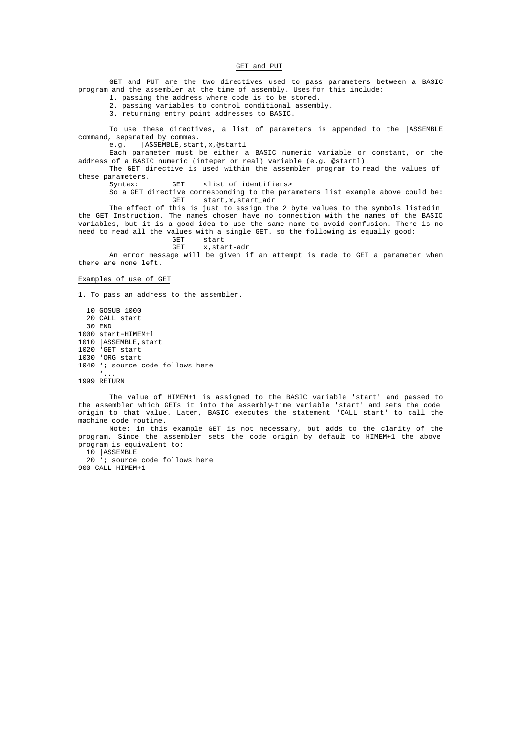# GET and PUT

GET and PUT are the two directives used to pass parameters between a BASIC program and the assembler at the time of assembly. Uses for this include: 1. passing the address where code is to be stored. 2. passing variables to control conditional assembly. 3. returning entry point addresses to BASIC. To use these directives, a list of parameters is appended to the |ASSEMBLE command, separated by commas. e.g. |ASSEMBLE,start,x,@startl Each parameter must be either a BASIC numeric variable or constant, or the address of a BASIC numeric (integer or real) variable (e.g. @startl). The GET directive is used within the assembler program to read the values of these parameters.<br>Syntax: GET <list of identifiers> So a GET directive corresponding to the parameters list example above could be:<br>GET start, x, start\_adr start,x,start\_adr The effect of this is just to assign the 2 byte values to the symbols listed in the GET Instruction. The names chosen have no connection with the names of the BASIC variables, but it is a good idea to use the same name to avoid confusion. There is no need to read all the values with a single GET. so the following is equally good: GET start GET x,start-adr An error message will be given if an attempt is made to GET a parameter when there are none left. Examples of use of GET 1. To pass an address to the assembler. 10 GOSUB 1000 20 CALL start 30 END 1000 start=HIMEM+l 1010 |ASSEMBLE,start 1020 'GET start 1030 'ORG start 1040 '; source code follows here '...

1999 RETURN

The value of HIMEM+1 is assigned to the BASIC variable 'start' and passed to the assembler which GETs it into the assembly-time variable 'start' and sets the code origin to that value. Later, BASIC executes the statement 'CALL start' to call the machine code routine.

Note: in this example GET is not necessary, but adds to the clarity of the program. Since the assembler sets the code origin by default to HIMEM+1 the above program is equivalent to:

10 |ASSEMBLE

20 '; source code follows here 900 CALL HIMEM+1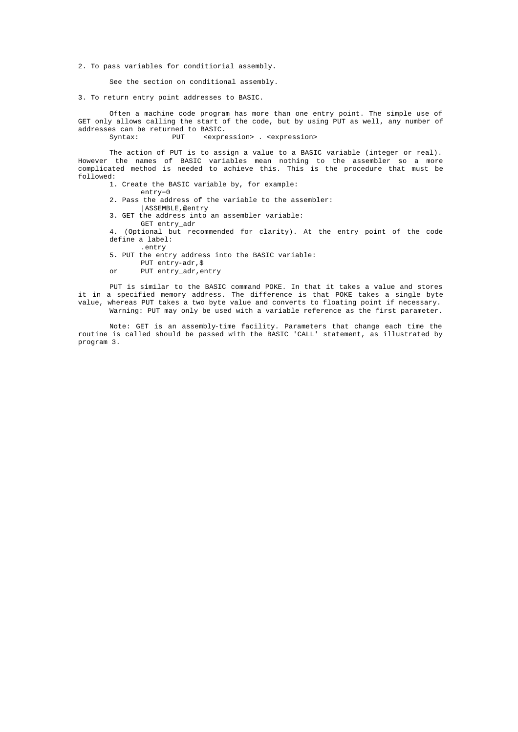2. To pass variables for conditiorial assembly.

See the section on conditional assembly.

3. To return entry point addresses to BASIC.

Often a machine code program has more than one entry point. The simple use of GET only allows calling the start of the code, but by using PUT as well, any number of addresses can be returned to BASIC.<br>Syntax: PUT <expre

<expression> . <expression>

The action of PUT is to assign a value to a BASIC variable (integer or real). However the names of BASIC variables mean nothing to the assembler so a more complicated method is needed to achieve this. This is the procedure that must be followed:

- 1. Create the BASIC variable by, for example: entry=0
- 2. Pass the address of the variable to the assembler:
	- |ASSEMBLE,@entry
- 3. GET the address into an assembler variable:
- GET entry\_adr

4. (Optional but recommended for clarity). At the entry point of the code define a label:

- .entry
- 5. PUT the entry address into the BASIC variable:
	- PUT entry-adr,\$
- or PUT entry\_adr,entry

PUT is similar to the BASIC command POKE. In that it takes a value and stores it in a specified memory address. The difference is that POKE takes a single byte value, whereas PUT takes a two byte value and converts to floating point if necessary. Warning: PUT may only be used with a variable reference as the first parameter.

Note: GET is an assembly-time facility. Parameters that change each time the routine is called should be passed with the BASIC 'CALL' statement, as illustrated by program 3.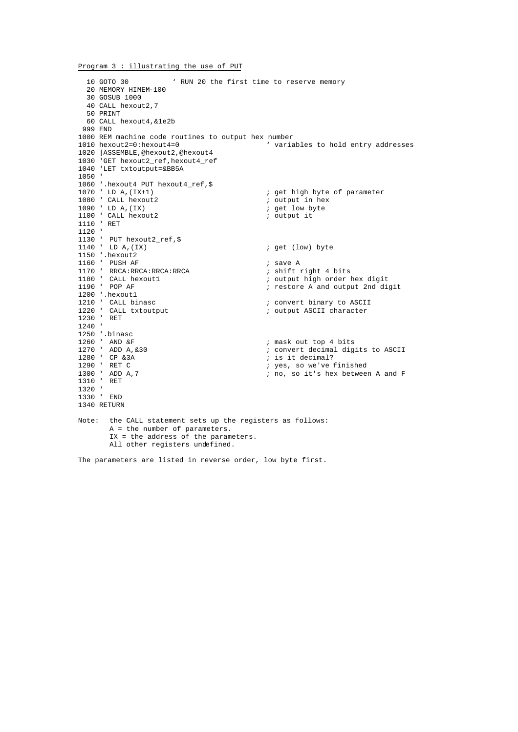Program 3 : illustrating the use of PUT

 10 GOTO 30 ' RUN 20 the first time to reserve memory 20 MEMORY HIMEM-100 30 GOSUB 1000 40 CALL hexout2,7 50 PRINT 60 CALL hexout4,&1e2b 999 END 1000 REM machine code routines to output hex number 1010 hexout2=0:hexout4=0  $\overline{ }$  variables to hold entry addresses 1020 |ASSEMBLE,@hexout2,@hexout4 1030 'GET hexout2\_ref,hexout4\_ref 1040 'LET txtoutput=&BB5A 1050 ' 1060 '.hexout4 PUT hexout4\_ref,\$<br>1070 ' LD A, (IX+1) % ; get high byte of parameter<br>; output in hex 1080 ' CALL hexout2 1090 ' LD A, (IX) ; get low byte 1100 ' CALL hexout2 ; output it 1110 ' RET 1120 ' 1130 ' PUT hexout2 ref,\$ 1140 ' LD A, (IX) ; get (low) byte 1150 '.hexout2 1160 ' PUSH AF ; save A 1170 ' RRCA:RRCA:RRCA:RRCA ; shift right 4 bits ; output high order hex digit ; restore A and output 2nd digit 1200 '.hexout1 1210 ' CALL binasc ; convert binary to ASCII 1220 ' CALL txtoutput ; output ASCII character 1220 -<br>1230 ' RET 1240 ' 1250 '.binasc<br>1260 ' AND & F<br>1270 ' ADD A, & 30 ; mask out top 4 bits 1270 ' ADD A,  $\&30$  <br>
1280 ' CP  $\&3A$  <br>
280 ' CP  $\&3A$  <br>
290 ' CP  $\&3A$ 1280 ' CP & 3A <br>1290 ' RET C <br>1290 ' RET C <br>1290 ' RET C <br>1290 ' RET C <br>1290 ' RET C <br>1290 ' RET C <br>1290 ' RET C <br>1290 ' RET C <br>1290 ' RET C <br>1290 ' RET C <br>1290 ' RET C <br>1290 ' RET C <br>1290 ' RET C PERET C PERET C PERET C P 1290 ' RET C ; yes, so we've finished ; no, so it's hex between A and F 1310 ' RET 1320 ' 1330 ' END 1340 RETURN Note: the CALL statement sets up the registers as follows: A = the number of parameters. IX = the address of the parameters. All other registers undefined.

The parameters are listed in reverse order, low byte first.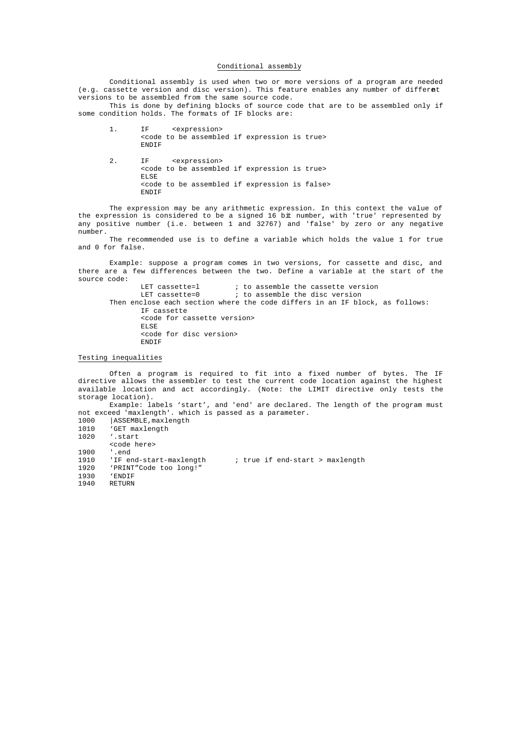# Conditional assembly

Conditional assembly is used when two or more versions of a program are needed (e.g. cassette version and disc version). This feature enables any number of different versions to be assembled from the same source code.

This is done by defining blocks of source code that are to be assembled only if some condition holds. The formats of IF blocks are:

- 1. IF <expression> <code to be assembled if expression is true> ENDIF
- 2. IF <expression> <code to be assembled if expression is true> ELSE <code to be assembled if expression is false> ENDIF

The expression may be any arithmetic expression. In this context the value of the expression is considered to be a signed 16 bit number, with 'true' represented by any positive number (i.e. between 1 and 32767) and 'false' by zero or any negative number.

The recommended use is to define a variable which holds the value 1 for true and 0 for false.

Example: suppose a program comes in two versions, for cassette and disc, and there are a few differences between the two. Define a variable at the start of the source code:

LET cassette=1  $\qquad$  ; to assemble the cassette version<br>LET cassette=0  $\qquad$  ; to assemble the disc version ; to assemble the disc version Then enclose each section where the code differs in an IF block, as follows: IF cassette <code for cassette version> ELSE <code for disc version> ENDIF

# Testing inequalities

Often a program is required to fit into a fixed number of bytes. The IF directive allows the assembler to test the current code location against the highest available location and act accordingly. (Note: the LIMIT directive only tests the storage location).

Example: labels 'start', and 'end' are declared. The length of the program must not exceed 'maxlength'. which is passed as a parameter.<br>1000 | ASSEMBLE maxlength 1000 |ASSEMBLE,maxlength 1010 'GET maxlength<br>1020 '.start '.start

- <code here>
- 
- 1900 '.end<br>1910 'IF end-start-maxlength 1910 'IF end-start-maxlength ; true if end-start > maxlength 1920 'PRINT"Code too long!"
- 1920 'PRINT"Code too long!"<br>1930 'ENDIF
- 1930 'ENDIF<br>1940 RETURN
- 1940 RETURN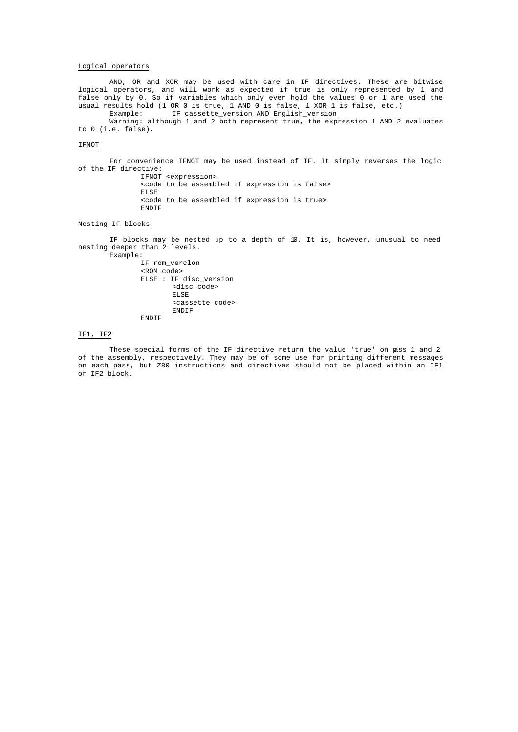# Logical operators

AND, OR and XOR may be used with care in IF directives. These are bitwise logical operators, and will work as expected if true is only represented by 1 and false only by 0. So if variables which only ever hold the values 0 or 1 are used the usual results hold (1 OR 0 is true, 1 AND 0 is false, 1 XOR 1 is false, etc.)

Example: IF cassette\_version AND English\_version

Warning: although 1 and 2 both represent true, the expression 1 AND 2 evaluates to 0 (i.e. false).

# IFNOT

For convenience IFNOT may be used instead of IF. It simply reverses the logic of the IF directive: IFNOT <expression> <code to be assembled if expression is false>

ELSE <code to be assembled if expression is true> **ENDIF** 

# Nesting IF blocks

IF blocks may be nested up to a depth of 10. It is, however, unusual to need nesting deeper than 2 levels.

Example:

IF rom\_verclon <ROM code> ELSE : IF disc\_version <disc code> ELSE <cassette code> ENDIF ENDIF

# IF1, IF2

These special forms of the IF directive return the value 'true' on mass 1 and 2 of the assembly, respectively. They may be of some use for printing different messages on each pass, but Z80 instructions and directives should not be placed within an IF1 or IF2 block.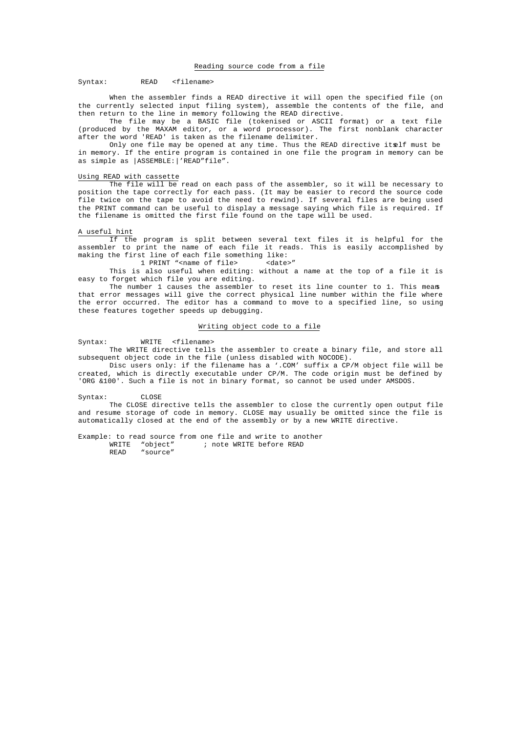### Syntax: READ <filename>

When the assembler finds a READ directive it will open the specified file (on the currently selected input filing system), assemble the contents of the file, and then return to the line in memory following the READ directive.

The file may be a BASIC file (tokenised or ASCII format) or a text file (produced by the MAXAM editor, or a word processor). The first nonblank character after the word 'READ' is taken as the filename delimiter.

Only one file may be opened at any time. Thus the READ directive itself must be in memory. If the entire program is contained in one file the program in memory can be as simple as |ASSEMBLE:|'READ"file".

# Using READ with cassette

The file will be read on each pass of the assembler, so it will be necessary to position the tape correctly for each pass. (It may be easier to record the source code file twice on the tape to avoid the need to rewind). If several files are being used the PRINT command can be useful to display a message saying which file is required. If the filename is omitted the first file found on the tape will be used.

# A useful hint

If the program is split between several text files it is helpful for the assembler to print the name of each file it reads. This is easily accomplished by making the first line of each file something like:

1 PRINT "<name of file> <date>"

This is also useful when editing: without a name at the top of a file it is easy to forget which file you are editing.

The number 1 causes the assembler to reset its line counter to 1. This meams that error messages will give the correct physical line number within the file where the error occurred. The editor has a command to move to a specified line, so using these features together speeds up debugging.

# Writing object code to a file

Syntax: WRITE <filename>

The WRITE directive tells the assembler to create a binary file, and store all subsequent object code in the file (unless disabled with NOCODE).

Disc users only: if the filename has a '.COM' suffix a CP/M object file will be created, which is directly executable under CP/M. The code origin must be defined by 'ORG &100'. Such a file is not in binary format, so cannot be used under AMSDOS.

Syntax: CLOSE

The CLOSE directive tells the assembler to close the currently open output file and resume storage of code in memory. CLOSE may usually be omitted since the file is automatically closed at the end of the assembly or by a new WRITE directive.

Example: to read source from one file and write to another ; note WRITE before READ WRITE "object"<br>READ "source"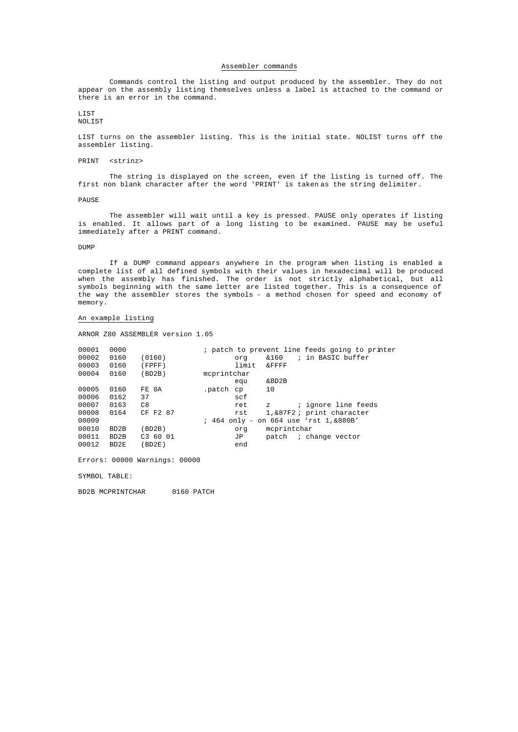# Assembler commands

Commands control the listing and output produced by the assembler. They do not appear on the assembly listing themselves unless a label is attached to the command or there is an error in the command.

LIST NOLIST

LIST turns on the assembler listing. This is the initial state. NOLIST turns off the assembler listing.

### PRINT <strinz>

The string is displayed on the screen, even if the listing is turned off. The first non blank character after the word 'PRINT' is taken as the string delimiter.

PAUSE

The assembler will wait until a key is pressed. PAUSE only operates if listing is enabled. It allows part of a long listing to be examined. PAUSE may be useful immediately after a PRINT command.

DIMP

If a DUMP command appears anywhere in the program when listing is enabled a complete list of all defined symbols with their values in hexadecimal will be produced when the assembly has finished. The order is not strictly alphabetical, but all symbols beginning with the same letter are listed together. This is a consequence of the way the assembler stores the symbols - a method chosen for speed and economy of memory.

# An example listing

ARNOR Z80 ASSEMBLER version 1.05

| 00001 | 0000              |          |             |       |                  | ; patch to prevent line feeds going to printer |
|-------|-------------------|----------|-------------|-------|------------------|------------------------------------------------|
| 00002 | 0160              | (0160)   |             | org   | &160             | ; in BASIC buffer                              |
| 00003 | 0160              | (FPFF)   |             | limit | <b>&amp;FFFF</b> |                                                |
| 00004 | 0160              | (BD2B)   | mcprintchar |       |                  |                                                |
|       |                   |          |             | equ   | &BD2B            |                                                |
| 00005 | 0160              | FE 0A    | .patch cp   |       | 10               |                                                |
| 00006 | 0162              | 37       |             | scf   |                  |                                                |
| 00007 | 0163              | C8       |             | ret   | $\mathbf{z}$     | ; ignore line feeds                            |
| 00008 | 0164              | CF F2 87 |             | rst   |                  | 1,&87F2; print character                       |
| 00009 |                   |          |             |       |                  | ; 464 only - on 664 use 'rst 1, & 880B'        |
| 00010 | BD <sub>2</sub> B | (BD2B)   |             | org   | mcprintchar      |                                                |
| 00011 | BD2B              | C36001   |             | JP    |                  | patch ; change vector                          |
| 00012 | BD2E              | (BD2E)   |             | end   |                  |                                                |
|       |                   |          |             |       |                  |                                                |

Errors: 00000 Warnings: 00000

SYMBOL TABLE:

BD2B MCPRINTCHAR 0160 PATCH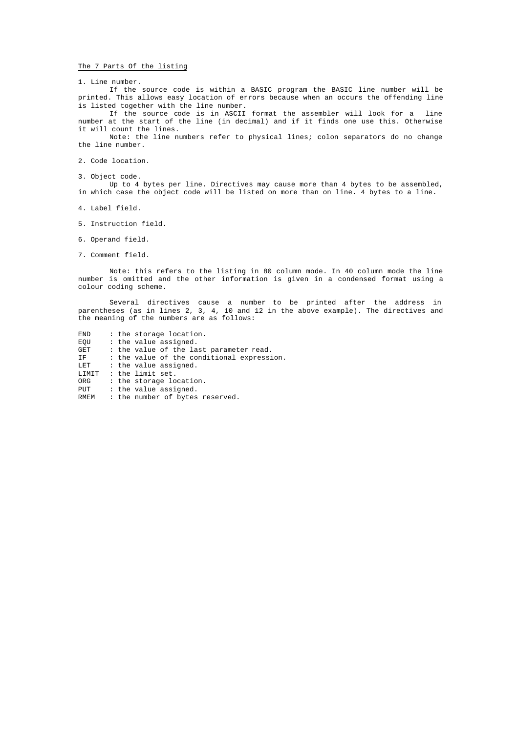# The 7 Parts Of the listing

1. Line number.

If the source code is within a BASIC program the BASIC line number will be printed. This allows easy location of errors because when an occurs the offending line is listed together with the line number.

If the source code is in ASCII format the assembler will look for a line number at the start of the line (in decimal) and if it finds one use this. Otherwise it will count the lines.

Note: the line numbers refer to physical lines; colon separators do no change the line number.

2. Code location.

3. Object code.

Up to 4 bytes per line. Directives may cause more than 4 bytes to be assembled, in which case the object code will be listed on more than on line. 4 bytes to a line.

- 4. Label field.
- 5. Instruction field.
- 6. Operand field.
- 7. Comment field.

Note: this refers to the listing in 80 column mode. In 40 column mode the line number is omitted and the other information is given in a condensed format using a colour coding scheme.

Several directives cause a number to be printed after the address in parentheses (as in lines 2, 3, 4, 10 and 12 in the above example). The directives and the meaning of the numbers are as follows:

| END   |  | : the storage location.                    |
|-------|--|--------------------------------------------|
| EOU   |  | : the value assigned.                      |
| GET   |  | : the value of the last parameter read.    |
| IF    |  | : the value of the conditional expression. |
| LET   |  | : the value assigned.                      |
| LIMIT |  | : the limit set.                           |
| ORG   |  | : the storage location.                    |
| PUT   |  | : the value assigned.                      |
| RMEM  |  | : the number of bytes reserved.            |
|       |  |                                            |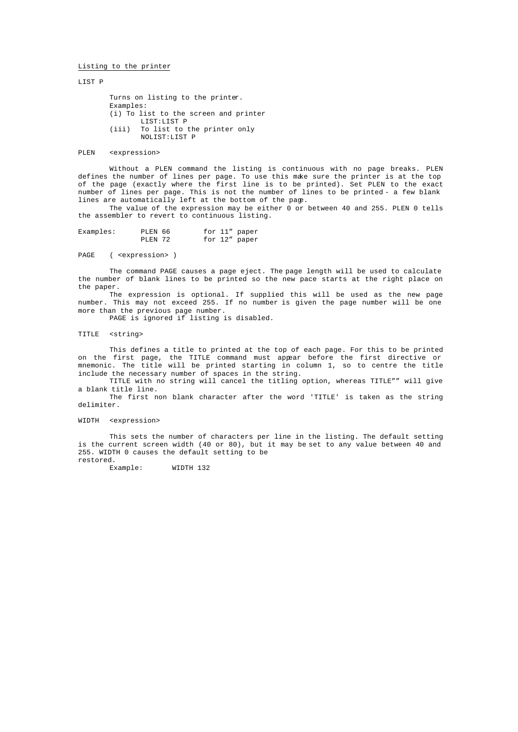### Listing to the printer

LIST P

Turns on listing to the printer. Examples: (i) To list to the screen and printer LIST:LIST P (iii) To list to the printer only NOLIST:LIST P

### PLEN <expression>

Without a PLEN command the listing is continuous with no page breaks. PLEN defines the number of lines per page. To use this make sure the printer is at the top of the page (exactly where the first line is to be printed). Set PLEN to the exact number of lines per page. This is not the number of lines to be printed - a few blank lines are automatically left at the bottom of the page.

The value of the expression may be either 0 or between 40 and 255. PLEN 0 tells the assembler to revert to continuous listing.

| Examples: | PLEN 66 |  | for 11" paper |
|-----------|---------|--|---------------|
|           | PLEN 72 |  | for 12" paper |

PAGE ( <expression> )

The command PAGE causes a page eject. The page length will be used to calculate the number of blank lines to be printed so the new pace starts at the right place on the paper.

The expression is optional. If supplied this will be used as the new page number. This may not exceed 255. If no number is given the page number will be one more than the previous page number.

PAGE is ignored if listing is disabled.

### TITLE <string>

This defines a title to printed at the top of each page. For this to be printed on the first page, the TITLE command must appear before the first directive or mnemonic. The title will be printed starting in column 1, so to centre the title include the necessary number of spaces in the string.

TITLE with no string will cancel the titling option, whereas TITLE"" will give a blank title line.

The first non blank character after the word 'TITLE' is taken as the string delimiter.

#### WIDTH <expression>

This sets the number of characters per line in the listing. The default setting is the current screen width (40 or 80), but it may be set to any value between 40 and 255. WIDTH 0 causes the default setting to be restored.

Example: WIDTH 132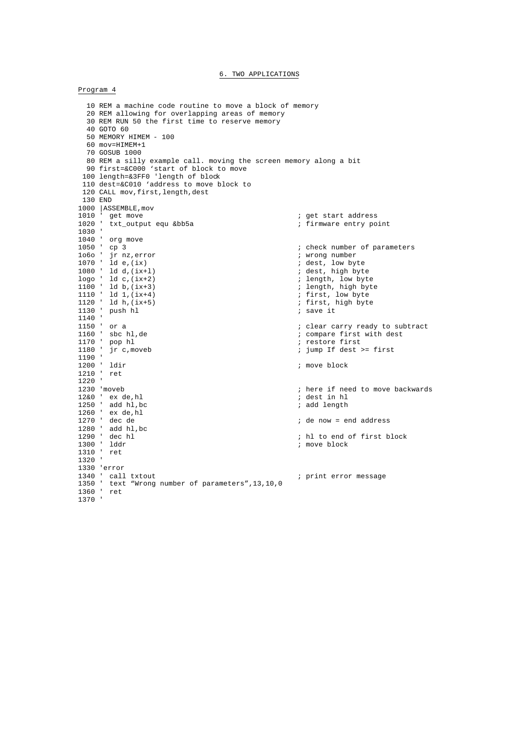6. TWO APPLICATIONS

Program 4

 10 REM a machine code routine to move a block of memory 20 REM allowing for overlapping areas of memory 30 REM RUN 50 the first time to reserve memory 40 GOTO 60 50 MEMORY HIMEM - 100  $60 \text{ m}$ ov=HTMEM+1 70 GOSUB 1000 80 REM a silly example call. moving the screen memory along a bit 90 first=&C000 'start of block to move 100 length=&3FF0 'length of block 110 dest=&C010 'address to move block to 120 CALL mov, first, length, dest 130 END 1000 |ASSEMBLE,mov 1010 ' get move **in the set of the set of the set of the set of the set of the set of the set of the set of the set of the set of the set of the set of the set of the set of the set of the set of the set of the set of the** 1020 ' txt\_output equ &bb5a ; firmware entry point 1030 ' 1040 ' org move<br>1050 ' cp 3 ; check number of parameters 1o6o ' jr nz,error ; wrong number 1070 ' ld e,(ix) ; dest, low byte 1080 ' ld d, (ix+l)<br>
1080 ' ld c, (ix+l)<br>
1090 ' ld c, (ix+2)<br>
1100 ' ld b, (ix+3)<br>
2010 ' ld b, (ix+3)<br>
2010 ' ld b, (ix+3)<br>
1100 ' ld b, (ix+3) logo ' ld c,(ix+2) ; length, low byte 1100 ' ld b,(ix+3) ; length, high byte 1110 ' ld 1,(ix+4) ; first, low byte 1120 ' ld h, (ix+5) **i** first, high byte  $1120$  '  $1d h, (ix+5)$ <br> $1130$  ' push hl  $1140$  '<br> $1150$  ' or a 1150 ' or a ; clear carry ready to subtract  $i$  compare first with dest<br> $i$  restore first  $1170$  ' pop hl<br> $1180$  ' jr c, moveb  $i$  jump If dest >= first 1190 '<br>1200 ' ldir ; move block 1210 ' ret 1220<br>1230 'moveb  $i$  here if need to move backwards<br> $i$  dest in hl 12&0 ' ex de,hl ; dest in hl 1250 ' add hl,bc ; add length 1260 ' ex de, hl<br>1270 ' dec de  $;$  de now = end address 1280 ' add hl, bc<br>1290 ' dec hl 1290 ' dec hl ; hl to end of first block ; move block 1310 ' ret 1320 ' 1330 'error<br>1340 ' call txtout ; print error message 1350 ' text "Wrong number of parameters",13,10,0 1360 ' ret 1370 '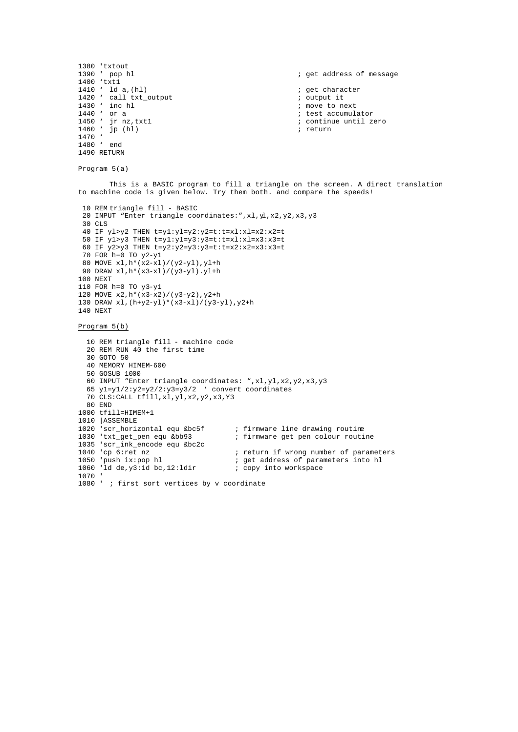```
1380 'txtout<br>1390 ' pop hl
                                                                    ; get address of message
1400 'txt1
1410 ' ld a, (hl) <br>1420 ' call txt_output the set of contracted in the set of contracted in the set of contracted in the set of c<br>1420 ' call txt_output in the set of contracted in the set of contracted in the set of contr
1420 ' call txt_output in the set of the set of the set of the set of the set of the set of the set of the set of the set of the set of the set of the set of the set of the set of the set of the set of the set of the set o
1430 ' inc hl<br>1440 ' or a
                                                                    ; test accumulator
                                                                    i continue until zero<br>i return
1450 ' jr nz, txtl<br>1460 ' jp (hl)
1470 '
1480 ' end
1490 RETURN
Program 5(a)
         This is a BASIC program to fill a triangle on the screen. A direct translation 
to machine code is given below. Try them both. and compare the speeds!
  10 REM triangle fill - BASIC
  20 INPUT "Enter triangle coordinates:",xl,yl,x2,y2,x3,y3
  30 CLS
  40 IF yl>y2 THEN t=y1:yl=y2:y2=t:t=xl:xl=x2:x2=t
 50 IF y1>y3 THEN t=y1:y1=y3:y3=t:t=xl:xl=x3:x3=t
 60 IF y2>y3 THEN t=y2:y2=y3:y3=t:t=x2:x2=x3:x3=t
  70 FOR h=0 TO y2-y1
  80 MOVE xl,h*(x2-xl)/(y2-yl),yl+h
 90 DRAW x1,h*(x3-x1)/(y3-y1).y1+h100 NEXT
110 FOR h=0 TO y3-y1
120 MOVE x2,h*(x3-x2)/(y3-y2),y2+h
130 DRAW xl,(h+y2-yl)*(x3-xl)/(y3-yl),y2+h
140 NEXT
Program 5(b)
    10 REM triangle fill - machine code
   20 REM RUN 40 the first time
    30 GOTO 50
    40 MEMORY HIMEM-600
    50 GOSUB 1000
   60 INPUT "Enter triangle coordinates: ",xl,yl,x2,y2,x3,y3
   65 y1=y1/2:y2=y2/2:y3=y3/2 ' convert coordinates
   70 CLS:CALL tfill,xl,yl,x2,y2,x3,Y3
    80 END
1000 tfill=HIMEM+1
1010 |ASSEMBLE
1020 'scr_horizontal equ &bc5f ; firmware line drawing routine
1030 'txt_get_pen equ &bb93 ; firmware get pen colour routine
1035 'scr_ink_encode equ &bc2c<br>1040 'cp 6:ret nz
1040 'cp 6:ret nz ; return if wrong number of parameters<br>
1050 'push ix:pop hl ; get address of parameters into hl
                                                % get address of parameters into hl<br>; copy into workspace
1060 'ld de,y3:1d bc,12:1dir1070 '
1080 ' ; first sort vertices by v coordinate
```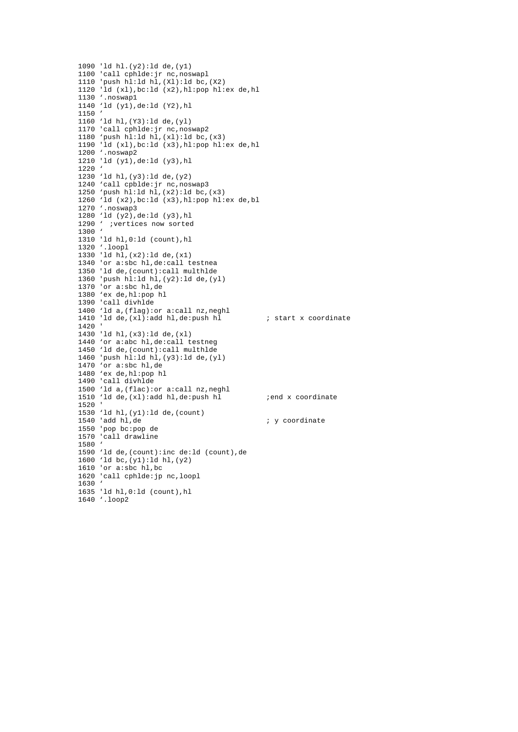```
1090 'ld hl.(y2):ld de,(y1)
1100 'call cphlde:jr nc,noswapl
1110 'push hl:1d hl,(X1):1d bc,(X2)1120 'ld (xl), bc:ld (x2), hl: pop hl: ex de, hl
1130 '.noswap1
1140 'ld (y1),de:ld (Y2),hl
1150 '
1160 'ld hl,(Y3):ld de,(yl)
1170 'call cphlde:jr nc,noswap2
1180 'push hl:ld hl,(x1):ld bc,(x3)1190 'ld (xl),bc:ld (x3),hl:pop hl:ex de,hl
1200 '.noswap2
1210 'ld (y1),de:ld (y3),hl
1220 '1230 'ld hl, (y3): ld de, (y2)1240 'call cpblde: jr nc, noswap3
1250 'push hl:ld hl,(x2):ld bc,(x3)
1260 'ld (x2),bc:ld (x3),hl:pop hl:ex de,bl
1270 '.noswap3
1280 'ld (y2),de:ld (y3),hl
1290 ' ;vertices now sorted
1300 '
1310 'ld hl,0:ld (count),hl
1320 '.loopl
1330 'ld hl,(x2):ld de,(x1)
1340 'or a:sbc hl,de:call testnea
1350 'ld de,(count):call multhlde
1360 'push hl:ld hl,(y2):ld de,(yl)
1370 'or a:sbc hl,de
1380 'ex de,hl:pop hl
1390 'call divhlde
1400 'ld a,(flag):or a:call nz,neghl
1410 'ld de, (xl):add hl,de:push hl ; start x coordinate
1420 '
1430 'ld hl,(x3):ld de,(xl)
1440 'or a:abc hl,de:call testneg
1450 'ld de,(count):call multhlde
1460 'push hl:ld hl,(y3):ld de,(y1)1470 'or a:sbc hl,de
1480 'ex de,hl:pop hl
1490 'call divhlde
1500 'ld a,(flac):or a:call nz,neghl
1510 'ld de, (xl): add hl, de: push hl ; end x coordinate
1520 '
1530 'ld hl,(y1):ld de,(count)
1540 'add hl,de \qquad \qquad ; y coordinate
1550 'pop bc:pop de
1570 'call drawline
1580 '
1590 'ld de,(count):inc de:ld (count),de
1600 'ld bc,(y1):ld hl,(y2)
1610 'or a:sbc hl,bc
1620 'call cphlde:jp nc,loopl
1630 '
1635 'ld hl,0:ld (count),hl
1640 '.loop2
```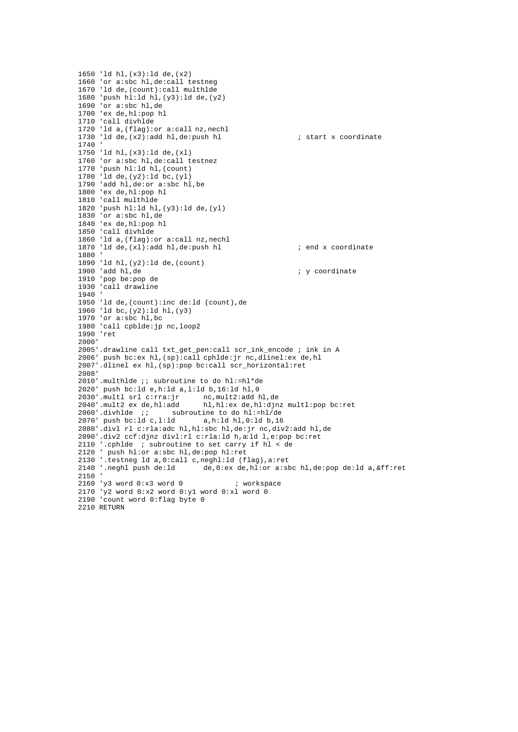```
1650 'ld hl,(x3):ld de,(x2)
1660 'or a:sbc hl,de:call testneg
1670 'ld de,(count):call multhlde
1680 'push hl:ld hl,(y3):ld de,(y2)
1690 'or a:sbc hl,de
1700 'ex de,hl:pop hl
1710 'call divhlde
1720 'ld a,(flag):or a:call nz,nechl
1730 'ld de, (x2): add hl,de: push hl ; start x coordinate
1740 '
1750 'ld hl,(x3):ld de,(xl)
1760 'or a:sbc hl,de:call testnez
1770 'push hl:ld hl,(count)
1780 id de, (y2): ld bc, (y1)
1790 'add hl,de:or a:sbc hl,be
1800 'ex de,hl:pop hl
1810 'call multhlde
1820 'push hl:ld hl,(y3):ld de,(yl)
1830 'or a:sbc hl,de
1840 'ex de,hl:pop hl
1850 'call divhlde
1860 'ld a,(flag):or a:call nz,nechl
1870 'ld de, (xl): add hl, de: push hl ; end x coordinate
1880 '
1890 'ld hl,(y2):ld de,(count)
1900 'add hl,de \frac{1}{1900} 'add hl,de
1910 'pop be:pop de
1930 'call drawline
1940 '
1950 'ld de,(count):inc de:ld (count),de
1960 'ld bc,(y2):ld hl,(y3)
1970 'or a:sbc hl,bc
1980 'call cpblde:jp nc,loop2
1990 'ret
2000'
2005'.drawline call txt_get_pen:call scr_ink_encode ; ink in A
2006' push bc:ex hl,(sp):call cphlde:jr nc,dlinel:ex de,hl
2007'.dlinel ex hl,(sp):pop bc:call scr_horizontal:ret
2008'
2010'.multhlde ;; subroutine to do hl:=hl*de
2020' push bc:ld e,h:ld a,l:ld b,16:ld hl,0
2030'.multl srl c:rra:jr nc,mult2:add hl,de
2040'.mult2 ex de,hl:add hl,hl:ex de,hl:djnz multl:pop bc:ret
2060'.divhlde i; subroutine to do hl:=hl/de 2070' push bc:ld c,l:ld a,h:ld hl,0:ld b,16
2070' push bc:ld c, l:ld
2080'.divl rl c:rla:adc hl,hl:sbc hl,de:jr nc,div2:add hl,de
2090'.div2 ccf:djnz divl:rl c:rla:ld h,a:ld l,e:pop bc:ret
2110 '.cphlde ; subroutine to set carry if hl < de
2120 ' push hl:or a:sbc hl,de:pop hl:ret
2130 '.testneg ld a,0:call c,neghl:ld (flag),a:ret<br>2140 '.neghl push de:ld de,0:ex de,hl:or a:sk
                            de,0:ex de,hl:or a:sbc hl,de:pop de:ld a,&ff:ret
2150 '
2160 'y3 word 0:x3 word 0 ; workspace
2170 'y2 word 0:x2 word 0:y1 word 0:xl word 0
2190 'count word 0:flag byte 0
2210 RETURN
```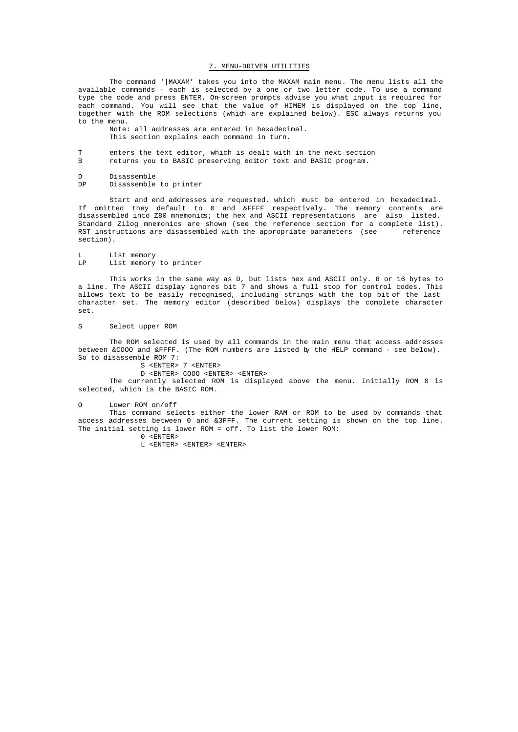7. MENU-DRIVEN UTILITIES

The command '|MAXAM' takes you into the MAXAM main menu. The menu lists all the available commands - each is selected by a one or two letter code. To use a command type the code and press ENTER. On-screen prompts advise you what input is required for each command. You will see that the value of HIMEM is displayed on the top line, together with the ROM selections (which are explained below). ESC always returns you to the menu.

Note: all addresses are entered in hexadecimal. This section explains each command in turn.

T enters the text editor, which is dealt with in the next section B returns you to BASIC preserving editor text and BASIC program.

D Disassemble<br>DP Disassemble

Disassemble to printer

Start and end addresses are requested. which must be entered in hexadecimal. If omitted they default to 0 and &FFFF respectively. The memory contents are disassembled into Z80 mnemonics; the hex and ASCII representations are also listed. Standard Zilog mnemonics are shown (see the reference section for a complete list).<br>RST instructions are disassembled with the appropriate parameters (see experience RST instructions are disassembled with the appropriate parameters (see section).

L List memory<br>LP List memory List memory to printer

This works in the same way as D, but lists hex and ASCII only. 8 or 16 bytes to a line. The ASCII display ignores bit 7 and shows a full stop for control codes. This allows text to be easily recognised, including strings with the top bit of the last character set. The memory editor (described below) displays the complete character set.

# S Select upper ROM

The ROM selected is used by all commands in the main menu that access addresses between &COOO and &FFFF. (The ROM numbers are listed by the HELP command - see below). So to disassemble ROM 7:

S <ENTER> 7 <ENTER>

D <ENTER> COOO <ENTER> <ENTER>

The currently selected ROM is displayed above the menu. Initially ROM 0 is selected, which is the BASIC ROM.

O Lower ROM on/off

This command selects either the lower RAM or ROM to be used by commands that access addresses between 0 and &3FFF. The current setting is shown on the top line. The initial setting is lower ROM = off. To list the lower ROM: 0 <ENTER>

L <ENTER> <ENTER> <ENTER>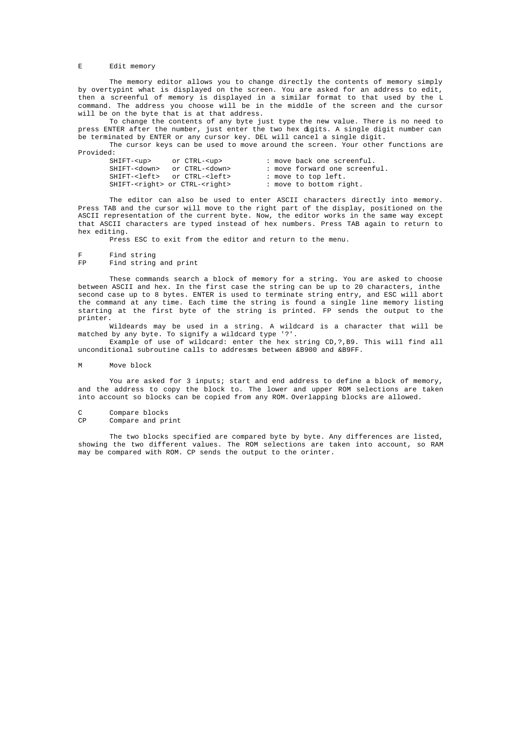# E Edit memory

The memory editor allows you to change directly the contents of memory simply by overtypint what is displayed on the screen. You are asked for an address to edit, then a screenful of memory is displayed in a similar format to that used by the L command. The address you choose will be in the middle of the screen and the cursor will be on the byte that is at that address.

To change the contents of any byte just type the new value. There is no need to press ENTER after the number, just enter the two hex digits. A single digit number can be terminated by ENTER or any cursor key. DEL will cancel a single digit.

The cursor keys can be used to move around the screen. Your other functions are Provided:

| SHIFT- <up></up> | or CTRL- <up></up>                             |  | : move back one screenful.    |
|------------------|------------------------------------------------|--|-------------------------------|
|                  | SHIFT- <down> or CTRL-<down></down></down>     |  | : move forward one screenful. |
|                  | SHIFT- <left> or CTRL-<left></left></left>     |  | : move to top left.           |
|                  | SHIFT- <right> or CTRL-<right></right></right> |  | : move to bottom right.       |

The editor can also be used to enter ASCII characters directly into memory. Press TAB and the cursor will move to the right part of the display, positioned on the ASCII representation of the current byte. Now, the editor works in the same way except that ASCII characters are typed instead of hex numbers. Press TAB again to return to hex editing.

Press ESC to exit from the editor and return to the menu.

### F Find string<br>FP Find string Find string and print

These commands search a block of memory for a string. You are asked to choose between ASCII and hex. In the first case the string can be up to 20 characters, inthe second case up to 8 bytes. ENTER is used to terminate string entry, and ESC will abort the command at any time. Each time the string is found a single line memory listing starting at the first byte of the string is printed. FP sends the output to the printer.

Wildeards may be used in a string. A wildcard is a character that will be matched by any byte. To signify a wildcard type '?'.

Example of use of wildcard: enter the hex string CD,?,B9. This will find all unconditional subroutine calls to addresses between &B900 and &B9FF.

# M Move block

You are asked for 3 inputs; start and end address to define a block of memory, and the address to copy the block to. The lower and upper ROM selections are taken into account so blocks can be copied from any ROM. Overlapping blocks are allowed.

# C Compare blocks

CP Compare and print

The two blocks specified are compared byte by byte. Any differences are listed, showing the two different values. The ROM selections are taken into account, so RAM may be compared with ROM. CP sends the output to the orinter.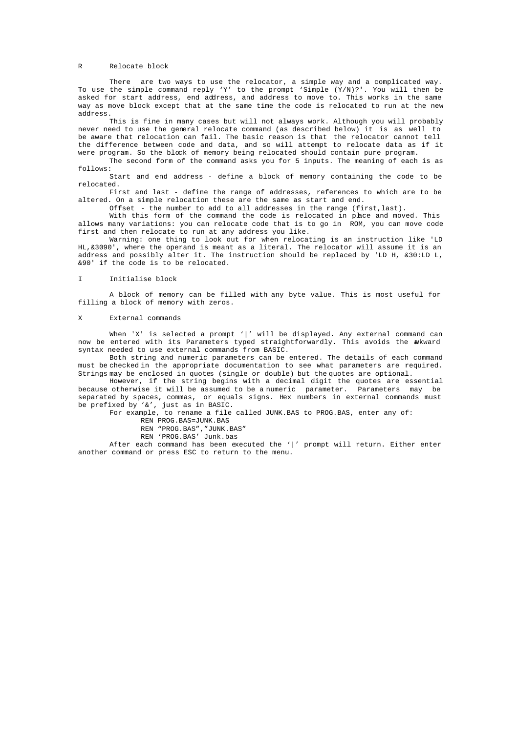# R Relocate block

There are two ways to use the relocator, a simple way and a complicated way. To use the simple command reply 'Y' to the prompt 'Simple (Y/N)?'. You will then be asked for start address, end address, and address to move to. This works in the same way as move block except that at the same time the code is relocated to run at the new address.

This is fine in many cases but will not always work. Although you will probably never need to use the general relocate command (as described below) it is as well to be aware that relocation can fail. The basic reason is that the relocator cannot tell the difference between code and data, and so will attempt to relocate data as if it were program. So the block of memory being relocated should contain pure program.

The second form of the command asks you for 5 inputs. The meaning of each is as follows:

Start and end address - define a block of memory containing the code to be relocated.

First and last - define the range of addresses, references to which are to be altered. On a simple relocation these are the same as start and end.

Offset - the number to add to all addresses in the range (first,last).

With this form of the command the code is relocated in place and moved. This allows many variations: you can relocate code that is to go in ROM, you can move code first and then relocate to run at any address you like.

Warning: one thing to look out for when relocating is an instruction like 'LD HL, & 3090', where the operand is meant as a literal. The relocator will assume it is an address and possibly alter it. The instruction should be replaced by 'LD H, &30:LD L, &90' if the code is to be relocated.

# I Initialise block

A block of memory can be filled with any byte value. This is most useful for filling a block of memory with zeros.

### X External commands

When 'X' is selected a prompt '|' will be displayed. Any external command can now be entered with its Parameters typed straightforwardly. This avoids the awkward syntax needed to use external commands from BASIC.

Both string and numeric parameters can be entered. The details of each command must be checked in the appropriate documentation to see what parameters are required. Strings may be enclosed in quotes (single or double) but the quotes are optional.

However, if the string begins with a decimal digit the quotes are essential because otherwise it will be assumed to be a numeric parameter. Parameters may be separated by spaces, commas, or equals signs. Hex numbers in external commands must be prefixed by '&', just as in BASIC.

For example, to rename a file called JUNK.BAS to PROG.BAS, enter any of:

REN PROG.BAS=JUNK.BAS

REN "PROG.BAS","JUNK.BAS"

REN 'PROG.BAS' Junk.bas

After each command has been executed the '|' prompt will return. Either enter another command or press ESC to return to the menu.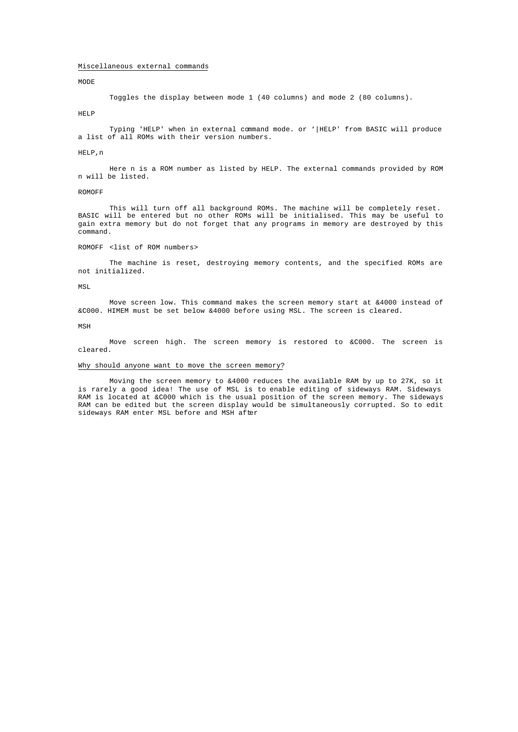# Miscellaneous external commands

### MODE

Toggles the display between mode 1 (40 columns) and mode 2 (80 columns).

### HELP

Typing 'HELP' when in external command mode. or '|HELP' from BASIC will produce a list of all ROMs with their version numbers.

### HELP<sub>n</sub>

Here n is a ROM number as listed by HELP. The external commands provided by ROM n will be listed.

### ROMOFF

This will turn off all background ROMs. The machine will be completely reset. BASIC will be entered but no other ROMs will be initialised. This may be useful to gain extra memory but do not forget that any programs in memory are destroyed by this command.

# ROMOFF <list of ROM numbers>

The machine is reset, destroying memory contents, and the specified ROMs are not initialized.

#### MST.

Move screen low. This command makes the screen memory start at &4000 instead of &C000. HIMEM must be set below &4000 before using MSL. The screen is cleared.

# MSH

Move screen high. The screen memory is restored to &C000. The screen is cleared.

# Why should anyone want to move the screen memory?

Moving the screen memory to &4000 reduces the available RAM by up to 27K, so it is rarely a good idea! The use of MSL is to enable editing of sideways RAM. Sideways RAM is located at &C000 which is the usual position of the screen memory. The sideways RAM can be edited but the screen display would be simultaneously corrupted. So to edit sideways RAM enter MSL before and MSH after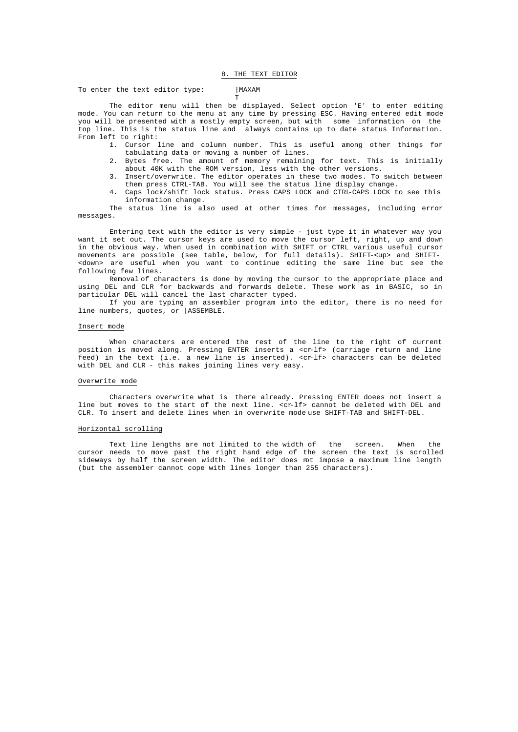# To enter the text editor type: | MAXAM

# T

The editor menu will then be displayed. Select option 'E' to enter editing mode. You can return to the menu at any time by pressing ESC. Having entered edit mode you will be presented with a mostly empty screen, but with some information on the top line. This is the status line and always contains up to date status Information. From left to right:

- 1. Cursor line and column number. This is useful among other things for tabulating data or moving a number of lines.
- 2. Bytes free. The amount of memory remaining for text. This is initially about 40K with the ROM version, less with the other versions.
- 3. Insert/overwrite. The editor operates in these two modes. To switch between them press CTRL-TAB. You will see the status line display change.
- 4. Caps lock/shift lock status. Press CAPS LOCK and CTRL-CAPS LOCK to see this information change.

The status line is also used at other times for messages, including error messages.

Entering text with the editor is very simple - just type it in whatever way you want it set out. The cursor keys are used to move the cursor left, right, up and down in the obvious way. When used in combination with SHIFT or CTRL various useful cursor movements are possible (see table, below, for full details). SHIFT-<up> and SHIFT- <down> are useful when you want to continue editing the same line but see the following few lines.

Removal of characters is done by moving the cursor to the appropriate place and using DEL and CLR for backwards and forwards delete. These work as in BASIC, so in particular DEL will cancel the last character typed.

If you are typing an assembler program into the editor, there is no need for line numbers, quotes, or |ASSEMBLE.

### Insert mode

When characters are entered the rest of the line to the right of current position is moved along. Pressing ENTER inserts a <cr-lf> (carriage return and line feed) in the text (i.e. a new line is inserted). <cr-lf> characters can be deleted with DEL and CLR - this makes joining lines very easy.

### Overwrite mode

Characters overwrite what is there already. Pressing ENTER doees not insert a line but moves to the start of the next line. <cr-lf> cannot be deleted with DEL and CLR. To insert and delete lines when in overwrite mode use SHIFT-TAB and SHIFT-DEL.

### Horizontal scrolling

Text line lengths are not limited to the width of the screen. When the cursor needs to move past the right hand edge of the screen the text is scrolled sideways by half the screen width. The editor does not impose a maximum line length (but the assembler cannot cope with lines longer than 255 characters).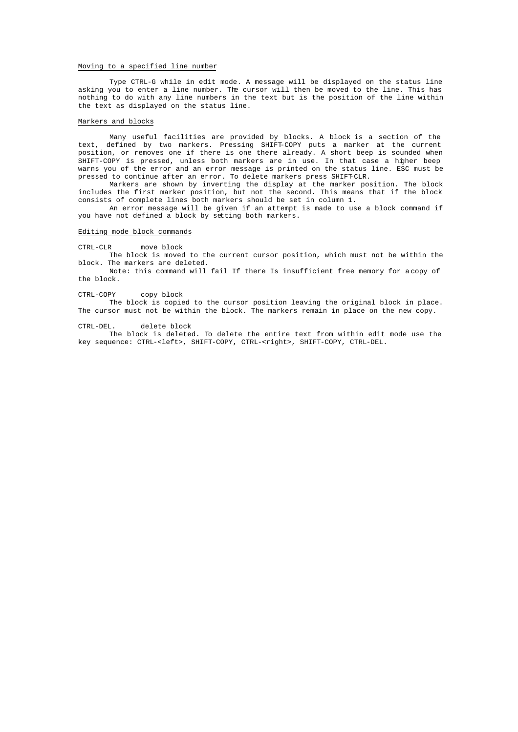# Moving to a specified line number

Type CTRL-G while in edit mode. A message will be displayed on the status line asking you to enter a line number. The cursor will then be moved to the line. This has nothing to do with any line numbers in the text but is the position of the line within the text as displayed on the status line.

# Markers and blocks

Many useful facilities are provided by blocks. A block is a section of the text, defined by two markers. Pressing SHIFT-COPY puts a marker at the current position, or removes one if there is one there already. A short beep is sounded when SHIFT-COPY is pressed, unless both markers are in use. In that case a higher beep warns you of the error and an error message is printed on the status line. ESC must be pressed to continue after an error. To delete markers press SHIFT-CLR.

Markers are shown by inverting the display at the marker position. The block includes the first marker position, but not the second. This means that if the block consists of complete lines both markers should be set in column 1.

An error message will be given if an attempt is made to use a block command if you have not defined a block by setting both markers.

# Editing mode block commands

#### CTRL-CLR move block

The block is moved to the current cursor position, which must not be within the block. The markers are deleted.

Note: this command will fail If there Is insufficient free memory for a copy of the block.

### CTRL-COPY copy block

The block is copied to the cursor position leaving the original block in place. The cursor must not be within the block. The markers remain in place on the new copy.

CTRL-DEL. delete block

The block is deleted. To delete the entire text from within edit mode use the key sequence: CTRL-<left>, SHIFT-COPY, CTRL-<right>, SHIFT-COPY, CTRL-DEL.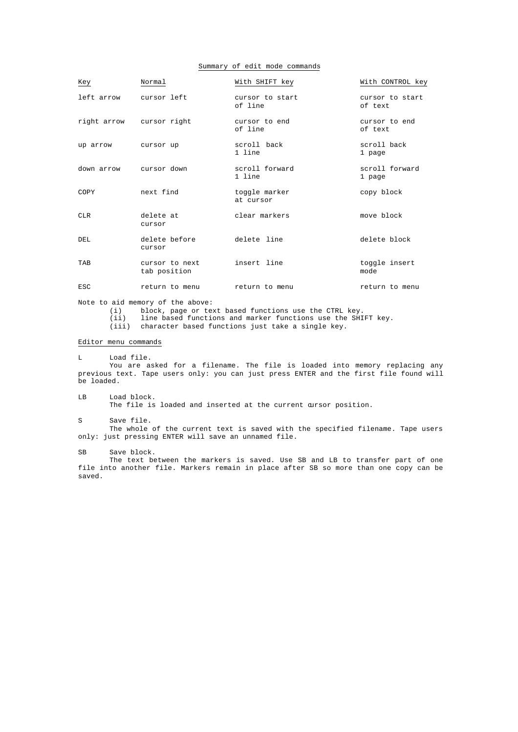# Summary of edit mode commands

| Key                    | Normal                         | With SHIFT key             | With CONTROL key           |
|------------------------|--------------------------------|----------------------------|----------------------------|
| left arrow             | cursor left                    | cursor to start<br>of line | cursor to start<br>of text |
|                        | right arrow cursor right       | cursor to end<br>of line   | cursor to end<br>of text   |
| up arrow               | cursor up                      | scroll back<br>1 line      | scroll back<br>1 page      |
| down arrow cursor down |                                | scroll forward<br>1 line   | scroll forward<br>1 page   |
| COPY                   | next find                      | toggle marker<br>at cursor | copy block                 |
| <b>CLR</b>             | delete at<br>cursor            | clear markers              | move block                 |
| DEL.                   | delete before<br>cursor        | delete line                | delete block               |
| TAB                    | cursor to next<br>tab position | insert line                | toggle insert<br>mode      |
| ESC                    | return to menu                 | return to menu             | return to menu             |

Note to aid memory of the above:<br>(i) block, page or tex

(i) block, page or text based functions use the CTRL key.<br>(ii) line based functions and marker functions use the SHI line based functions and marker functions use the SHIFT key.

(iii) character based functions just take a single key.

# Editor menu commands

# L Load file.

You are asked for a filename. The file is loaded into memory replacing any previous text. Tape users only: you can just press ENTER and the first file found will be loaded.

### LB Load block.

The file is loaded and inserted at the current cursor position.

# S Save file.

The whole of the current text is saved with the specified filename. Tape users only: just pressing ENTER will save an unnamed file.

SB Save block.

The text between the markers is saved. Use SB and LB to transfer part of one file into another file. Markers remain in place after SB so more than one copy can be saved.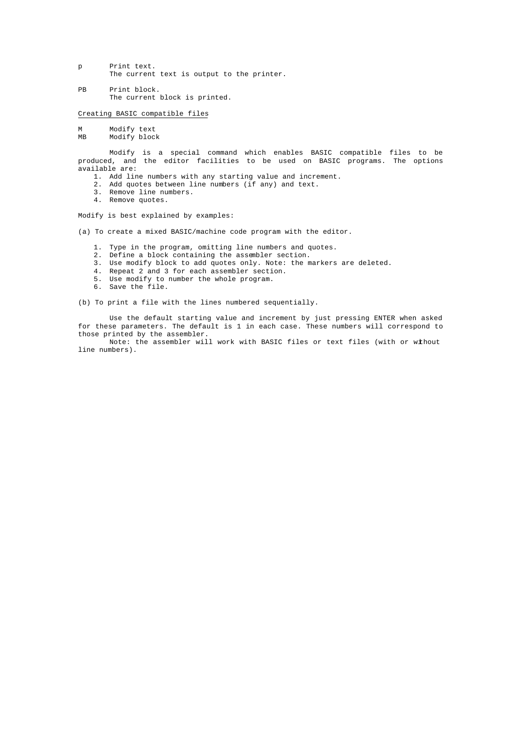- p Print text. The current text is output to the printer.
- PB Print block. The current block is printed.

# Creating BASIC compatible files

M Modify text<br>MB Modify bloc

Modify block

Modify is a special command which enables BASIC compatible files to be produced, and the editor facilities to be used on BASIC programs. The options available are:

- 1. Add line numbers with any starting value and increment.
- 2. Add quotes between line numbers (if any) and text.
- 3. Remove line numbers.
- 4. Remove quotes.

Modify is best explained by examples:

- (a) To create a mixed BASIC/machine code program with the editor.
	- 1. Type in the program, omitting line numbers and quotes.
	- 2. Define a block containing the assembler section.
	- 3. Use modify block to add quotes only. Note: the markers are deleted.
	- 4. Repeat 2 and 3 for each assembler section.
	- 5. Use modify to number the whole program.
	- 6. Save the file.

(b) To print a file with the lines numbered sequentially.

Use the default starting value and increment by just pressing ENTER when asked for these parameters. The default is 1 in each case. These numbers will correspond to those printed by the assembler.

Note: the assembler will work with BASIC files or text files (with or without line numbers).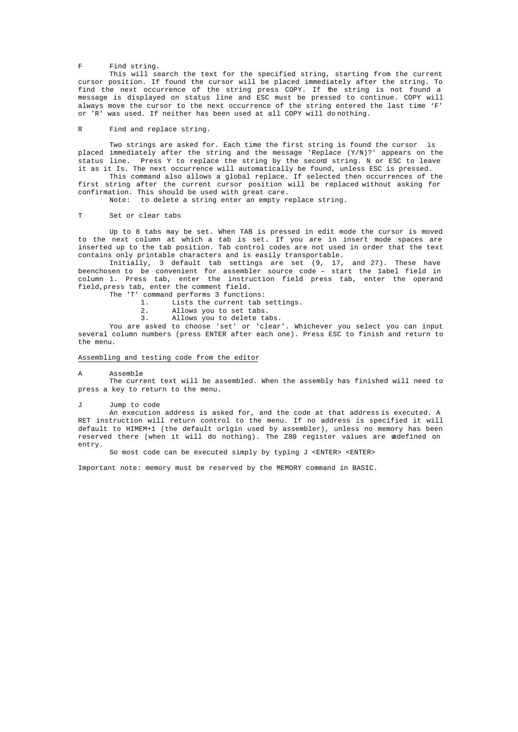# F Find string.

This will search the text for the specified string, starting from the current cursor position. If found the cursor will be placed immediately after the string. To find the next occurrence of the string press COPY. If the string is not found a message is displayed on status line and ESC must be pressed to continue. COPY will always move the cursor to the next occurrence of the string entered the last time 'F' or 'R' was used. If neither has been used at all COPY will do nothing.

Find and replace string.

Two strings are asked for. Each time the first string is found the cursor is placed immediately after the string and the message 'Replace (Y/N)?' appears on the status line. Press Y to replace the string by the second string. N or ESC to leave it as it Is. The next occurrence will automatically be found, unless ESC is pressed.

This command also allows a global replace. If selected then occurrences of the first string after the current cursor position will be replaced without asking for confirmation. This should be used with great care.

Note: to delete a string enter an empty replace string.

#### T Set or clear tabs

Up to 8 tabs may be set. When TAB is pressed in edit mode the cursor is moved to the next column at which a tab is set. If you are in insert mode spaces are inserted up to the tab position. Tab control codes are not used in order that the text contains only printable characters and is easily transportable.

Initially, 3 default tab settings are set (9, 17, and 27). These have beenchosen to be convenient for assembler source code – start the 1abel field in column 1. Press tab, enter the instruction field press tab, enter the operand field,press tab, enter the comment field.

- The 'T' command performs 3 functions:
	- 1. Lists the current tab settings.<br>2. Allows you to set tabs.
		- Allows you to set tabs.
	- 3. Allows you to delete tabs.

You are asked to choose 'set' or 'clear'. Whichever you select you can input several column numbers (press ENTER after each one). Press ESC to finish and return to the menu.

# Assembling and testing code from the editor

#### A Assemble

The current text will be assembled. When the assembly has finished will need to press a key to return to the menu.

### J Jump to code

An execution address is asked for, and the code at that address is executed. A RET instruction will return control to the menu. If no address is specified it will default to HIMEM+1 (the default origin used by assembler), unless no memory has been reserved there (when it will do nothing). The Z80 register values are undefined on entry.

So most code can be executed simply by typing J <ENTER> <ENTER>

Important note: memory must be reserved by the MEMORY command in BASIC.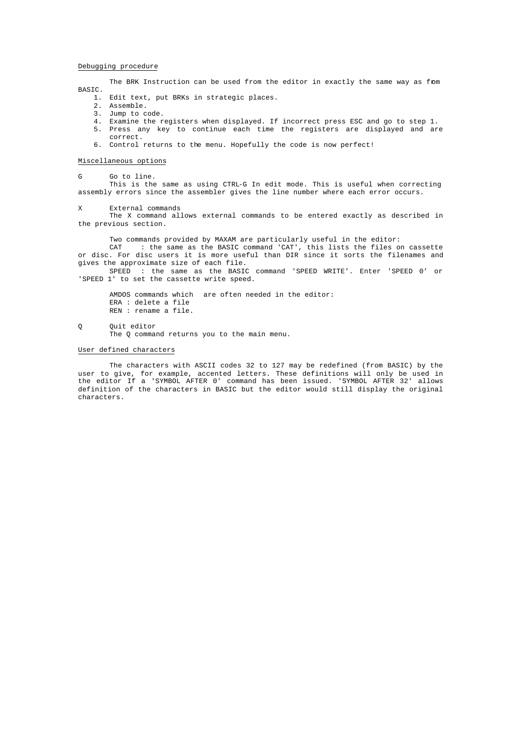# Debugging procedure

The BRK Instruction can be used from the editor in exactly the same way as from BASIC.

- 1. Edit text, put BRKs in strategic places.
- 2. Assemble.
- 3. Jump to code.
- 4. Examine the registers when displayed. If incorrect press ESC and go to step 1. 5. Press any key to continue each time the registers are displayed and are
- correct.
- 6. Control returns to the menu. Hopefully the code is now perfect!

# Miscellaneous options

#### G Go to line.

This is the same as using CTRL-G In edit mode. This is useful when correcting assembly errors since the assembler gives the line number where each error occurs.

X External commands

The X command allows external commands to be entered exactly as described in the previous section.

Two commands provided by MAXAM are particularly useful in the editor:

CAT : the same as the BASIC command 'CAT', this lists the files on cassette or disc. For disc users it is more useful than DIR since it sorts the filenames and gives the approximate size of each file.

SPEED : the same as the BASIC command 'SPEED WRITE'. Enter 'SPEED 0' or 'SPEED 1' to set the cassette write speed.

AMDOS commands which are often needed in the editor: ERA : delete a file REN : rename a file.

Q Quit editor

The Q command returns you to the main menu.

### User defined characters

The characters with ASCII codes 32 to 127 may be redefined (from BASIC) by the user to give, for example, accented letters. These definitions will only be used in the editor If a 'SYMBOL AFTER 0' command has been issued. 'SYMBOL AFTER 32' allows definition of the characters in BASIC but the editor would still display the original characters.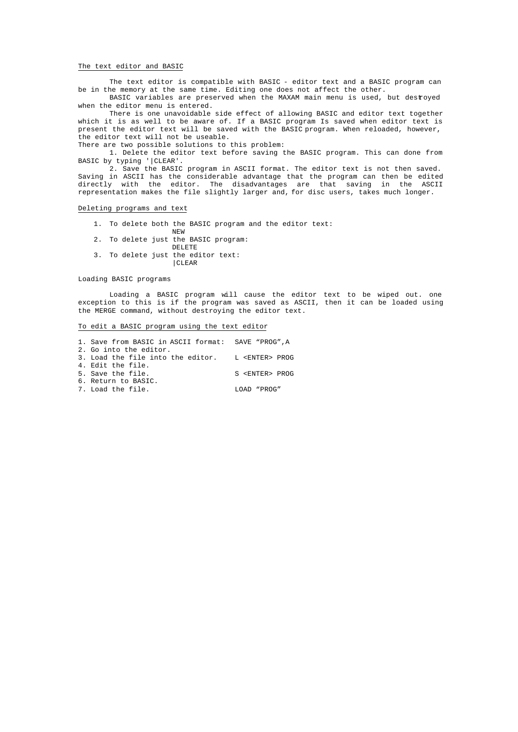# The text editor and BASIC

The text editor is compatible with BASIC - editor text and a BASIC program can be in the memory at the same time. Editing one does not affect the other.

BASIC variables are preserved when the MAXAM main menu is used, but destroyed when the editor menu is entered.

There is one unavoidable side effect of allowing BASIC and editor text together which it is as well to be aware of. If a BASIC program Is saved when editor text is present the editor text will be saved with the BASIC program. When reloaded, however, .<br>the editor text will not be useable.

There are two possible solutions to this problem:

1. Delete the editor text before saving the BASIC program. This can done from BASIC by typing '|CLEAR'.

2. Save the BASIC program in ASCII format. The editor text is not then saved. Saving in ASCII has the considerable advantage that the program can then be edited directly with the editor. The disadvantages are that saving in the ASCII representation makes the file slightly larger and, for disc users, takes much longer.

# Deleting programs and text

- 1. To delete both the BASIC program and the editor text:
	- NEW
- 2. To delete just the BASIC program: DELETE
- 3. To delete just the editor text: |CLEAR

Loading BASIC programs

Loading a BASIC program will cause the editor text to be wiped out. one exception to this is if the program was saved as ASCII, then it can be loaded using the MERGE command, without destroying the editor text.

# To edit a BASIC program using the text editor

1. Save from BASIC in ASCII format: SAVE "PROG",A 2. Go into the editor. 3. Load the file into the editor. L <ENTER> PROG 4. Edit the file. 5. Save the file. S <ENTER> PROG 6. Return to BASIC. 7. Load the file. The contract of the file.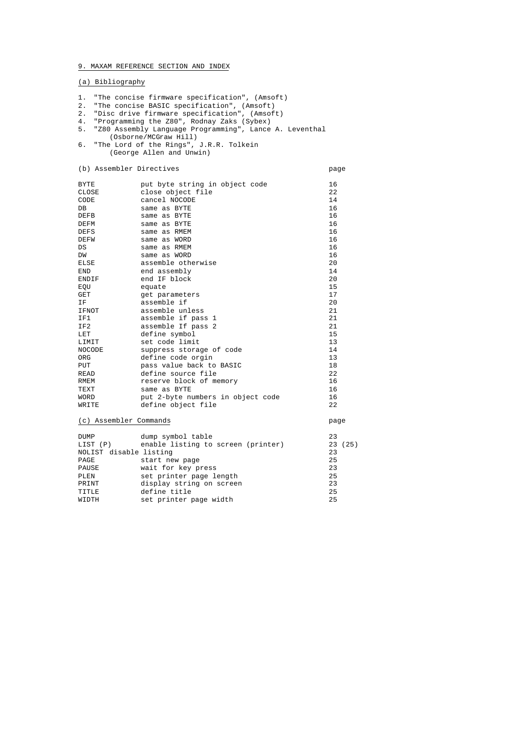# 9. MAXAM REFERENCE SECTION AND INDEX

(a) Bibliography

1. "The concise firmware specification", (Amsoft) 2. "The concise BASIC specification", (Amsoft) 2. "Disc drive firmware specification", (Amsoft) 4. "Programming the Z80", Rodnay Zaks (Sybex) 5. "Z80 Assembly Language Programming", Lance A. Leventhal (Osborne/MCGraw Hill) 6. "The Lord of the Rings", J.R.R. Tolkein (George Allen and Unwin) (b) Assembler Directives page BYTE put byte string in object code 16<br>CLOSE close object file 122 BYTE put byte string in object code<br>CLOSE close object file 22<br>CODE cancel NOCODE 14 CODE cancel NOCODE 14 DB same as BYTE 16 DEFB same as BYTE 30 and 16 DEFM same as BYTE 16 and 16 DEFS same as RMEM and the same of  $\sim$  16 DEFW same as WORD 30 and 30 and 40 and 40 and 40 and 40 and 40 and 40 and 40 and 40 and 40 and 40 and 40 and 40 DS same as RMEM and the same  $16$ DW same as WORD 316 and 32 and 32 and 32 and 33 and 34 and 35 and 36 and 36 and 36 and 36 and 36 and 36 and 36

|                                   | TP.          |
|-----------------------------------|--------------|
| assemble otherwise                | 20           |
| end assembly                      | 14           |
| end IF block                      | 20           |
| equate                            | 15           |
| get parameters                    | 17           |
| assemble if                       | 20           |
| assemble unless                   | 21           |
| assemble if pass 1                | 21           |
| assemble If pass 2                | 21           |
| define symbol                     | 15           |
| set code limit                    | 13           |
| suppress storage of code          | 14           |
| define code orgin                 | 13           |
| pass value back to BASIC          | 18           |
| define source file                | 22           |
| reserve block of memory           | 16           |
| same as BYTE                      | 16           |
| put 2-byte numbers in object code | 16           |
| define object file                | 22           |
|                                   | same as wuku |

# (c) Assembler Commands page

| DUMP<br>LIST (P)       | dump symbol table<br>enable listing to screen (printer) | 23<br>23(25) |  |
|------------------------|---------------------------------------------------------|--------------|--|
| NOLIST disable listing |                                                         | 23           |  |
| PAGE                   | start new page                                          | 25           |  |
| PAUSE                  | wait for key press                                      | 23           |  |
| PLEN                   | set printer page length                                 | 25           |  |
| PRINT                  | display string on screen                                | 23           |  |
| TITLE                  | define title                                            | 25           |  |
| WIDTH                  | set printer page width                                  | 25           |  |
|                        |                                                         |              |  |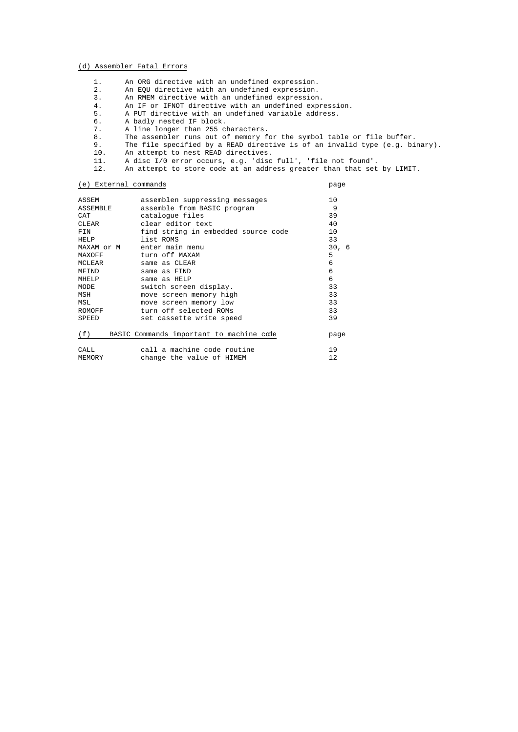# (d) Assembler Fatal Errors

1. An ORG directive with an undefined expression.<br>2. An EQU directive with an undefined expression. 2. An EQU directive with an undefined expression.<br>3. An RMEM directive with an undefined expression An RMEM directive with an undefined expression. 4. An IF or IFNOT directive with an undefined expression. 5. A PUT directive with an undefined variable address.<br>6. A badly nested IF block. 6. A badly nested IF block.<br>7. A line longer than 255 c 7. A line longer than 255 characters.<br>8. The assembler runs out of memory f The assembler runs out of memory for the symbol table or file buffer. 9. The file specified by a READ directive is of an invalid type (e.g. binary). 10. An attempt to nest READ directives.<br>11. A disc I/0 error occurs, e.g. 'disc 11. A disc  $I/0$  error occurs, e.g. 'disc full', 'file not found'.<br>12. An attempt to store code at an address greater than that set An attempt to store code at an address greater than that set by LIMIT.

# (e) External commands page

| ASSEM         | assemblen suppressing messages           | 10    |
|---------------|------------------------------------------|-------|
| ASSEMBLE      | assemble from BASIC program              | -9    |
| CAT           | cataloque files                          | 39    |
| CLEAR         | clear editor text                        | 40    |
| FIN           | find string in embedded source code      | 10    |
| HELP          | list ROMS                                | 33    |
|               | MAXAM or M enter main menu               | 30, 6 |
| MAXOFF        | turn off MAXAM                           | 5     |
| <b>MCLEAR</b> | same as CLEAR                            | 6     |
| MFIND         | same as FIND                             | 6     |
| MHELP         | same as HELP                             | 6     |
| MODE          | switch screen display.                   | 33    |
| MSH           | move screen memory high                  | 33    |
| MSL           | move screen memory low                   | 33    |
| ROMOFF        | turn off selected ROMs                   | 33    |
| SPEED         | set cassette write speed                 | 39    |
| (f)           | BASIC Commands important to machine code | page  |
| CALL          | call a machine code routine              | 19    |
| MEMORY        | change the value of HIMEM                | 12    |
|               |                                          |       |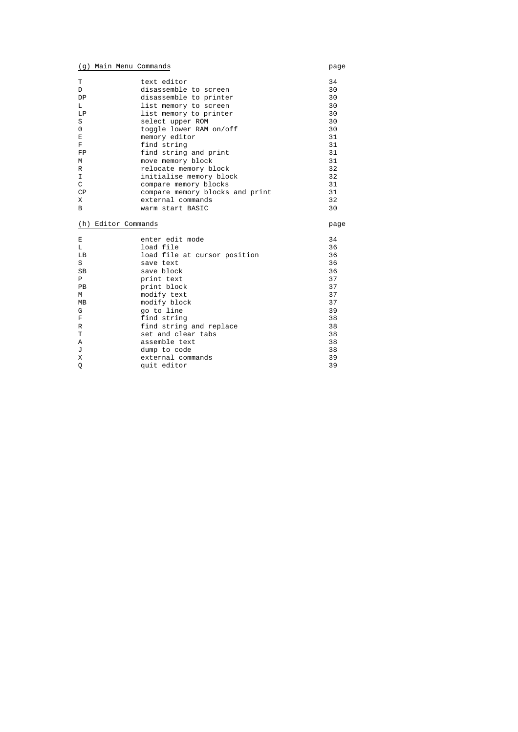|                     | (g) Main Menu Commands          | page |
|---------------------|---------------------------------|------|
| T                   | text editor                     | 34   |
| D                   | disassemble to screen           | 30   |
| DP                  | disassemble to printer          | 30   |
| L                   | list memory to screen           | 30   |
| LP                  | list memory to printer          | 30   |
| S                   | select upper ROM                | 30   |
| $\mathbf 0$         | toggle lower RAM on/off         | 30   |
| E                   | memory editor                   | 31   |
| F                   | find string                     | 31   |
| FP                  | find string and print           | 31   |
| М                   | move memory block               | 31   |
| R                   | relocate memory block           | 32   |
| I                   | initialise memory block         | 32   |
| $\mathcal{C}$       | compare memory blocks           | 31   |
| CP                  | compare memory blocks and print | 31   |
| X                   | external commands               | 32   |
| B                   | warm start BASIC                | 30   |
| (h) Editor Commands |                                 | page |
| E                   | enter edit mode                 | 34   |
| L                   | load file                       | 36   |
| LB                  | load file at cursor position    | 36   |
| S                   | save text                       | 36   |
| <b>SB</b>           | save block                      | 36   |
| P                   | print text                      | 37   |
| PB                  | print block                     | 37   |
| M                   | modify text                     | 37   |
| МB                  | modify block                    | 37   |
| G                   | go to line                      | 39   |
| F                   | find string                     | 38   |
| R                   | find string and replace         | 38   |
| T                   | set and clear tabs              | 38   |

A assemble text 38 J dump to code 38 X external commands 39 Q quit editor 39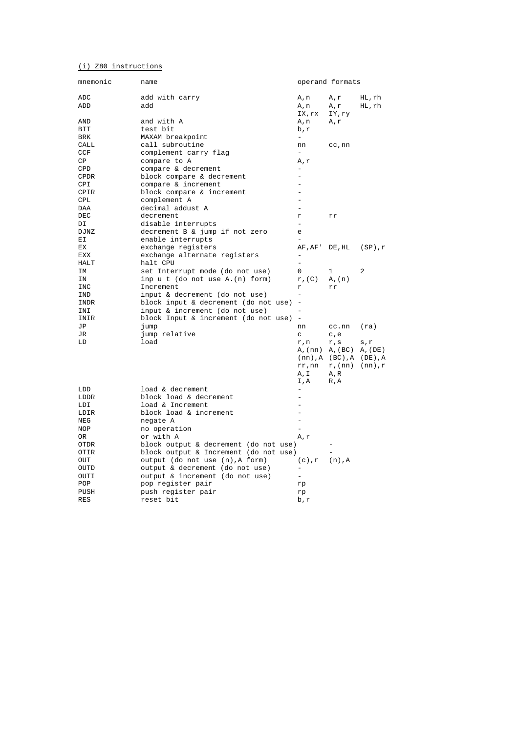# (i) Z80 instructions

| mnemonic    | name                                   |                          | operand formats       |            |
|-------------|----------------------------------------|--------------------------|-----------------------|------------|
| ADC         | add with carry                         | A, n                     | A,r                   | HL,rh      |
| ADD         | add                                    | A, n                     | A,r                   | HL,rh      |
|             |                                        | IX, rx                   | IY, ry                |            |
| AND         | and with A                             | A,n                      | A,r                   |            |
| BIT         | test bit                               | b,r                      |                       |            |
| BRK         | MAXAM breakpoint                       | $\equiv$                 |                       |            |
| CALL        | call subroutine                        | nn                       | cc, nn                |            |
| CCF         | complement carry flag                  | $\equiv$                 |                       |            |
| CP          | compare to A                           | A,r                      |                       |            |
| CPD         | compare & decrement                    | $\overline{a}$           |                       |            |
| <b>CPDR</b> | block compare & decrement              | $\equiv$                 |                       |            |
| CPI         | compare & increment                    | ÷                        |                       |            |
| CPIR        | block compare & increment              |                          |                       |            |
| CPL         | complement A                           | $\equiv$                 |                       |            |
| DAA         | decimal addust A                       |                          |                       |            |
| DEC         | decrement                              | r                        | rr                    |            |
| DI          | disable interrupts                     | $\overline{\phantom{a}}$ |                       |            |
| DJNZ        | decrement B & jump if not zero         | е                        |                       |            |
| ЕI          | enable interrupts                      | $\equiv$                 |                       |            |
| ЕX          | exchange registers                     | AF, AF'                  | DE, HL                | (SP), r    |
| EXX         | exchange alternate registers           | $\qquad \qquad -$        |                       |            |
| HALT        | halt CPU                               | $\overline{\phantom{0}}$ |                       |            |
| IΜ          | set Interrupt mode (do not use)        | 0                        | 1                     | 2          |
| ΙN          | inp u t (do not use A. (n) form)       | $r$ , $(C)$              | $A$ , $(n)$           |            |
| INC         | Increment                              | r                        | rr                    |            |
| IND         | input & decrement (do not use)         |                          |                       |            |
| INDR        | block input & decrement (do not use)   |                          |                       |            |
| INI         | input & increment (do not use)         |                          |                       |            |
| INIR        | block Input & increment (do not use) - |                          |                       |            |
| JΡ          | jump                                   | nn                       | cc.nn                 | (ra)       |
| JR          | jump relative                          | C                        | c, e                  |            |
| LD          | load                                   | r, n                     | r, s                  | s,r        |
|             |                                        |                          | $A$ , (nn) $A$ , (BC) | A, (DE)    |
|             |                                        |                          | (nn), A (BC), A       | $(DE)$ , A |
|             |                                        | rr, nn                   | $r$ , $(nn)$          | (nn), r    |
|             |                                        | A, I                     | A,R                   |            |
| LDD         | load & decrement                       | I,A<br>$\qquad \qquad -$ | R, A                  |            |
| LDDR        | block load & decrement                 |                          |                       |            |
| LDI         | load & Increment                       | ÷                        |                       |            |
| LDIR        | block load & increment                 |                          |                       |            |
| NEG         | negate A                               | $\equiv$                 |                       |            |
| <b>NOP</b>  | no operation                           |                          |                       |            |
| OR.         | or with A                              | A,r                      |                       |            |
| OTDR        | block output & decrement (do not use)  |                          |                       |            |
| OTIR        | block output & Increment (do not use)  |                          | $\equiv$              |            |
| OUT         | output (do not use (n), A form)        | (c), r                   | $(n)$ , $A$           |            |
| OUTD        | output & decrement (do not use)        | -                        |                       |            |
| OUTI        | output & increment (do not use)        | $\overline{\phantom{0}}$ |                       |            |
| POP         | pop register pair                      | rp                       |                       |            |
| PUSH        | push register pair                     | rp                       |                       |            |
| <b>RES</b>  | reset bit                              | b,r                      |                       |            |
|             |                                        |                          |                       |            |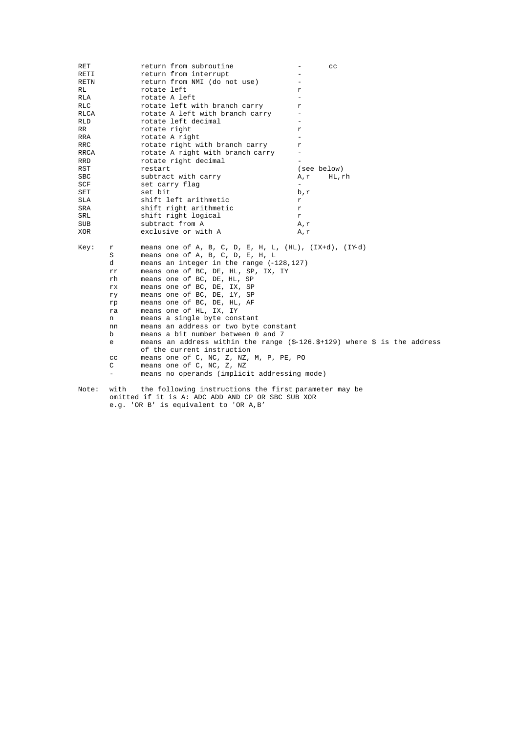| RET   |      | return from subroutine                                                                                     |                          | $_{\rm cc}$ |
|-------|------|------------------------------------------------------------------------------------------------------------|--------------------------|-------------|
| RETI  |      | return from interrupt                                                                                      |                          |             |
| RETN  |      | return from NMI (do not use)                                                                               |                          |             |
| RL    |      | rotate left                                                                                                | r                        |             |
| RLA   |      | rotate A left                                                                                              | $\qquad \qquad -$        |             |
| RLC   |      | rotate left with branch carry                                                                              | r                        |             |
| RLCA  |      | rotate A left with branch carry                                                                            | $\overline{\phantom{a}}$ |             |
| RLD   |      | rotate left decimal                                                                                        |                          |             |
| RR    |      | rotate right                                                                                               | r                        |             |
| RRA   |      | rotate A right                                                                                             | $\equiv$                 |             |
| RRC   |      | rotate right with branch carry                                                                             | r                        |             |
| RRCA  |      | rotate A right with branch carry                                                                           | $\equiv$                 |             |
| RRD   |      | rotate right decimal                                                                                       |                          |             |
| RST   |      | restart                                                                                                    | (see below)              |             |
| SBC   |      | subtract with carry                                                                                        | A,r                      | HL,rh       |
| SCF   |      | set carry flag                                                                                             | $\overline{\phantom{a}}$ |             |
| SET   |      | set bit                                                                                                    | b,r                      |             |
| SLA   |      | shift left arithmetic                                                                                      | r                        |             |
| SRA   |      | shift right arithmetic                                                                                     | r                        |             |
| SRL   |      | shift right logical                                                                                        | $\Upsilon$               |             |
| SUB   |      | subtract from A                                                                                            | A,r                      |             |
| XOR   |      | exclusive or with A                                                                                        | A,r                      |             |
| Key:  | r    | means one of A, B, C, D, E, H, L, $(HL)$ , $IX+d$ , $(IX-d)$                                               |                          |             |
|       | S    | means one of A, B, C, D, E, H, L                                                                           |                          |             |
|       | d    | means an integer in the range $(-128, 127)$                                                                |                          |             |
|       | rr   | means one of BC, DE, HL, SP, IX, IY                                                                        |                          |             |
|       | rh   | means one of BC, DE, HL, SP                                                                                |                          |             |
|       | rx   | means one of BC, DE, IX, SP                                                                                |                          |             |
|       | ry   | means one of BC, DE, 1Y, SP                                                                                |                          |             |
|       | rp   | means one of BC, DE, HL, AF                                                                                |                          |             |
|       | ra   | means one of HL, IX, IY                                                                                    |                          |             |
|       | n    | means a single byte constant                                                                               |                          |             |
|       | nn   | means an address or two byte constant                                                                      |                          |             |
|       | b    | means a bit number between 0 and 7                                                                         |                          |             |
|       | e    | means an address within the range $(\frac{5}{7} - 126.5 + 129)$ where \$ is the address                    |                          |             |
|       |      | of the current instruction                                                                                 |                          |             |
|       | cc   | means one of C, NC, Z, NZ, M, P, PE, PO                                                                    |                          |             |
|       | C    | means one of C, NC, Z, NZ                                                                                  |                          |             |
|       |      | means no operands (implicit addressing mode)                                                               |                          |             |
| Note: | with | the following instructions the first parameter may be<br>omitted if it is A: ADC ADD AND CP OR SBC SUB XOR |                          |             |

e.g. 'OR B' is equivalent to 'OR A,B'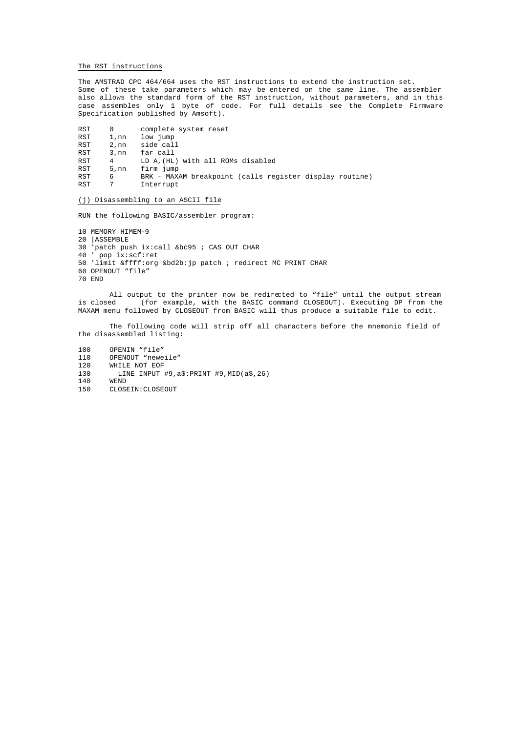# The RST instructions

The AMSTRAD CPC 464/664 uses the RST instructions to extend the instruction set. Some of these take parameters which may be entered on the same line. The assembler also allows the standard form of the RST instruction, without parameters, and in this case assembles only 1 byte of code. For full details see the Complete Firmware Specification published by Amsoft).

| RST | 0      | complete system reset                                   |
|-----|--------|---------------------------------------------------------|
| RST | 1, nn  | low jump                                                |
| RST | 2, nn  | side call                                               |
| RST | 3 . nn | far call                                                |
| RST | 4      | LD A, (HL) with all ROMs disabled                       |
| RST | 5 . nn | firm jump                                               |
| RST | 6      | BRK - MAXAM breakpoint (calls register display routine) |
| RST |        | Interrupt                                               |

# (j) Disassembling to an ASCII file

RUN the following BASIC/assembler program:

10 MEMORY HIMEM-9 20 |ASSEMBLE 30 'patch push ix:call &bc95 ; CAS OUT CHAR 40 ' pop ix:scf:ret 50 'limit &ffff:org &bd2b:jp patch ; redirect MC PRINT CHAR 60 OPENOUT "file" 70 END

All output to the printer now be redirected to "file" until the output stream<br>is closed (for example, with the BASIC command CLOSEOUT). Executing DP from the is closed (for example, with the BASIC command CLOSEOUT). Executing DP from the MAXAM menu followed by CLOSEOUT from BASIC will thus produce a suitable file to edit.

The following code will strip off all characters before the mnemonic field of the disassembled listing:

100 OPENIN "file" 110 OPENOUT "neweile"<br>120 WHILE NOT EOF 120 WHILE NOT EOF<br>130 LINE INPUT

- 130 LINE INPUT #9,a\$:PRINT #9,MID(a\$,26)<br>140 WEND WEND
- 150 CLOSEIN:CLOSEOUT
-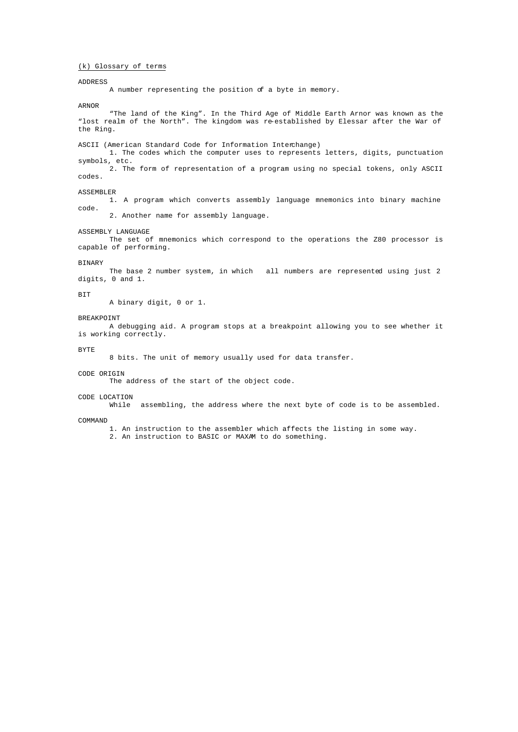# (k) Glossary of terms

# ADDRESS

A number representing the position of a byte in memory.

ARNOR

"The land of the King". In the Third Age of Middle Earth Arnor was known as the "lost realm of the North". The kingdom was re-established by Elessar after the War of the Ring.

ASCII (American Standard Code for Information Interchange) 1. The codes which the computer uses to represents letters, digits, punctuation symbols, etc. .<br>2. The form of representation of a program using no special tokens, only ASCII codes.

#### ASSEMBLER

1. A program which converts assembly language mnemonics into binary machine code.

2. Another name for assembly language.

# ASSEMBLY LANGUAGE

The set of mnemonics which correspond to the operations the Z80 processor is capable of performing.

### BINARY

The base 2 number system, in which all numbers are represented using just 2 digits, 0 and 1.

### BIT

A binary digit, 0 or 1.

#### BREAKPOINT

A debugging aid. A program stops at a breakpoint allowing you to see whether it is working correctly.

BYTE

8 bits. The unit of memory usually used for data transfer.

### CODE ORIGIN

The address of the start of the object code.

### CODE LOCATION

While assembling, the address where the next byte of code is to be assembled.

### **COMMAND**

1. An instruction to the assembler which affects the listing in some way.

2. An instruction to BASIC or MAXAM to do something.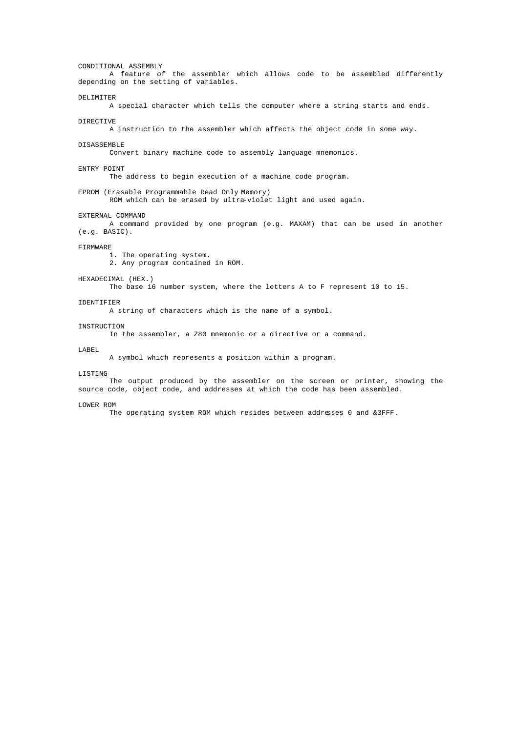CONDITIONAL ASSEMBLY A feature of the assembler which allows code to be assembled differently depending on the setting of variables. DELIMITER A special character which tells the computer where a string starts and ends. DIRECTIVE A instruction to the assembler which affects the object code in some way. DISASSEMBLE Convert binary machine code to assembly language mnemonics. ENTRY POINT The address to begin execution of a machine code program. EPROM (Erasable Programmable Read Only Memory) ROM which can be erased by ultra-violet light and used again. EXTERNAL COMMAND A command provided by one program (e.g. MAXAM) that can be used in another (e.g. BASIC). FIRMWARE 1. The operating system. 2. Any program contained in ROM. HEXADECIMAL (HEX.) The base 16 number system, where the letters A to F represent 10 to 15. IDENTIFIER A string of characters which is the name of a symbol. INSTRUCTION In the assembler, a Z80 mnemonic or a directive or a command. LABEL A symbol which represents a position within a program. LISTING The output produced by the assembler on the screen or printer, showing the source code, object code, and addresses at which the code has been assembled.

# LOWER ROM

The operating system ROM which resides between addresses 0 and &3FFF.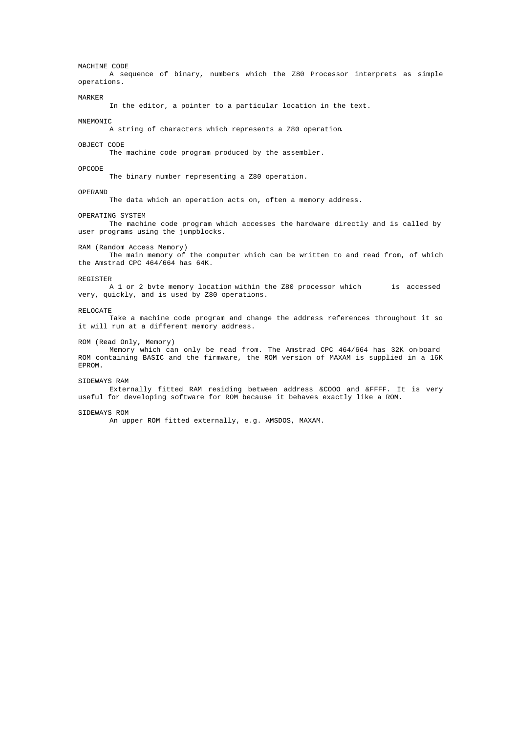MACHINE CODE A sequence of binary, numbers which the Z80 Processor interprets as simple operations. MARKER In the editor, a pointer to a particular location in the text. MNEMONIC A string of characters which represents a Z80 operation. OBJECT CODE The machine code program produced by the assembler. OPCODE The binary number representing a Z80 operation. OPERAND The data which an operation acts on, often a memory address. OPERATING SYSTEM The machine code program which accesses the hardware directly and is called by user programs using the jumpblocks. RAM (Random Access Memory) The main memory of the computer which can be written to and read from, of which the Amstrad CPC 464/664 has 64K. REGISTER A 1 or 2 bvte memory location within the Z80 processor which is accessed very, quickly, and is used by Z80 operations. RELOCATE Take a machine code program and change the address references throughout it so it will run at a different memory address. ROM (Read Only, Memory) Memory which can only be read from. The Amstrad CPC 464/664 has 32K on-board ROM containing BASIC and the firmware, the ROM version of MAXAM is supplied in a 16K EPROM. SIDEWAYS RAM Externally fitted RAM residing between address &COOO and &FFFF. It is very

useful for developing software for ROM because it behaves exactly like a ROM.

# SIDEWAYS ROM

An upper ROM fitted externally, e.g. AMSDOS, MAXAM.